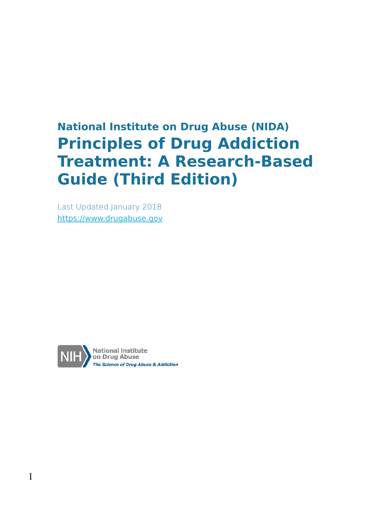## **National Institute on Drug Abuse (NIDA) Principles of Drug Addiction Treatment: A Research-Based Guide (Third Edition)**

Last Updated January 2018 [https://www.drugabuse.gov](https://www.drugabuse.gov/)

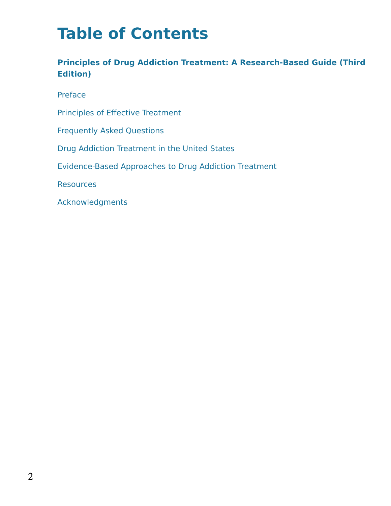# **Table of Contents**

#### **Principles of Drug Addiction Treatment: A Research-Based Guide (Third Edition)**

Preface

Principles of Effective Treatment

Frequently Asked Questions

Drug Addiction Treatment in the United States

Evidence-Based Approaches to Drug Addiction Treatment

**Resources** 

Acknowledgments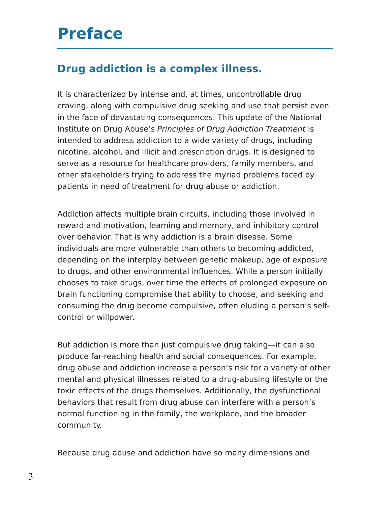## **Preface**

#### **Drug addiction is a complex illness.**

It is characterized by intense and, at times, uncontrollable drug craving, along with compulsive drug seeking and use that persist even in the face of devastating consequences. This update of the National Institute on Drug Abuse's Principles of Drug Addiction Treatment is intended to address addiction to a wide variety of drugs, including nicotine, alcohol, and illicit and prescription drugs. It is designed to serve as a resource for healthcare providers, family members, and other stakeholders trying to address the myriad problems faced by patients in need of treatment for drug abuse or addiction.

Addiction affects multiple brain circuits, including those involved in reward and motivation, learning and memory, and inhibitory control over behavior. That is why addiction is a brain disease. Some individuals are more vulnerable than others to becoming addicted, depending on the interplay between genetic makeup, age of exposure to drugs, and other environmental influences. While a person initially chooses to take drugs, over time the effects of prolonged exposure on brain functioning compromise that ability to choose, and seeking and consuming the drug become compulsive, often eluding a person's selfcontrol or willpower.

But addiction is more than just compulsive drug taking—it can also produce far-reaching health and social consequences. For example, drug abuse and addiction increase a person's risk for a variety of other mental and physical illnesses related to a drug-abusing lifestyle or the toxic effects of the drugs themselves. Additionally, the dysfunctional behaviors that result from drug abuse can interfere with a person's normal functioning in the family, the workplace, and the broader community.

Because drug abuse and addiction have so many dimensions and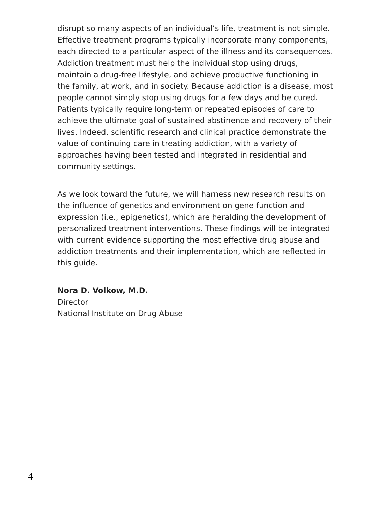disrupt so many aspects of an individual's life, treatment is not simple. Effective treatment programs typically incorporate many components, each directed to a particular aspect of the illness and its consequences. Addiction treatment must help the individual stop using drugs, maintain a drug-free lifestyle, and achieve productive functioning in the family, at work, and in society. Because addiction is a disease, most people cannot simply stop using drugs for a few days and be cured. Patients typically require long-term or repeated episodes of care to achieve the ultimate goal of sustained abstinence and recovery of their lives. Indeed, scientific research and clinical practice demonstrate the value of continuing care in treating addiction, with a variety of approaches having been tested and integrated in residential and community settings.

As we look toward the future, we will harness new research results on the influence of genetics and environment on gene function and expression (i.e., epigenetics), which are heralding the development of personalized treatment interventions. These findings will be integrated with current evidence supporting the most effective drug abuse and addiction treatments and their implementation, which are reflected in this guide.

**Nora D. Volkow, M.D. Director** National Institute on Drug Abuse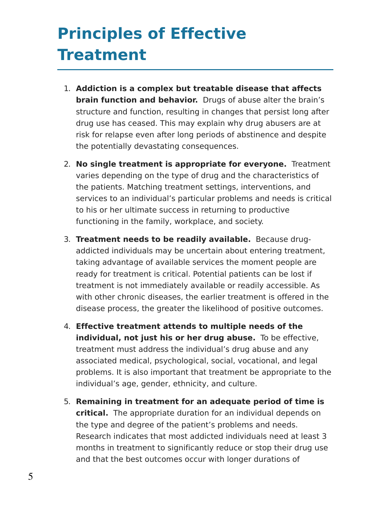# **Principles of Effective Treatment**

- 1. **Addiction is a complex but treatable disease that affects brain function and behavior.** Drugs of abuse alter the brain's structure and function, resulting in changes that persist long after drug use has ceased. This may explain why drug abusers are at risk for relapse even after long periods of abstinence and despite the potentially devastating consequences.
- 2. **No single treatment is appropriate for everyone.** Treatment varies depending on the type of drug and the characteristics of the patients. Matching treatment settings, interventions, and services to an individual's particular problems and needs is critical to his or her ultimate success in returning to productive functioning in the family, workplace, and society.
- 3. **Treatment needs to be readily available.** Because drugaddicted individuals may be uncertain about entering treatment, taking advantage of available services the moment people are ready for treatment is critical. Potential patients can be lost if treatment is not immediately available or readily accessible. As with other chronic diseases, the earlier treatment is offered in the disease process, the greater the likelihood of positive outcomes.
- 4. **Effective treatment attends to multiple needs of the individual, not just his or her drug abuse.** To be effective, treatment must address the individual's drug abuse and any associated medical, psychological, social, vocational, and legal problems. It is also important that treatment be appropriate to the individual's age, gender, ethnicity, and culture.
- 5. **Remaining in treatment for an adequate period of time is critical.** The appropriate duration for an individual depends on the type and degree of the patient's problems and needs. Research indicates that most addicted individuals need at least 3 months in treatment to significantly reduce or stop their drug use and that the best outcomes occur with longer durations of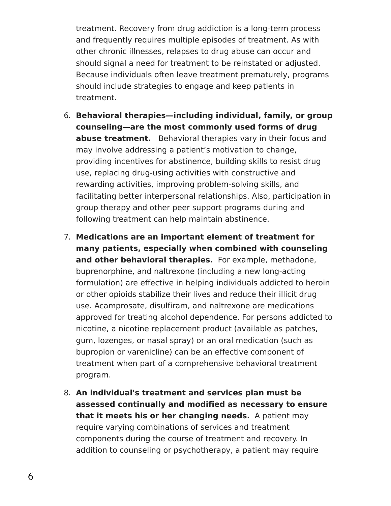treatment. Recovery from drug addiction is a long-term process and frequently requires multiple episodes of treatment. As with other chronic illnesses, relapses to drug abuse can occur and should signal a need for treatment to be reinstated or adjusted. Because individuals often leave treatment prematurely, programs should include strategies to engage and keep patients in treatment.

- 6. **Behavioral therapies—including individual, family, or group counseling—are the most commonly used forms of drug abuse treatment.** Behavioral therapies vary in their focus and may involve addressing a patient's motivation to change, providing incentives for abstinence, building skills to resist drug use, replacing drug-using activities with constructive and rewarding activities, improving problem-solving skills, and facilitating better interpersonal relationships. Also, participation in group therapy and other peer support programs during and following treatment can help maintain abstinence.
- 7. **Medications are an important element of treatment for many patients, especially when combined with counseling and other behavioral therapies.** For example, methadone, buprenorphine, and naltrexone (including a new long-acting formulation) are effective in helping individuals addicted to heroin or other opioids stabilize their lives and reduce their illicit drug use. Acamprosate, disulfiram, and naltrexone are medications approved for treating alcohol dependence. For persons addicted to nicotine, a nicotine replacement product (available as patches, gum, lozenges, or nasal spray) or an oral medication (such as bupropion or varenicline) can be an effective component of treatment when part of a comprehensive behavioral treatment program.
- 8. **An individual's treatment and services plan must be assessed continually and modified as necessary to ensure that it meets his or her changing needs.** A patient may require varying combinations of services and treatment components during the course of treatment and recovery. In addition to counseling or psychotherapy, a patient may require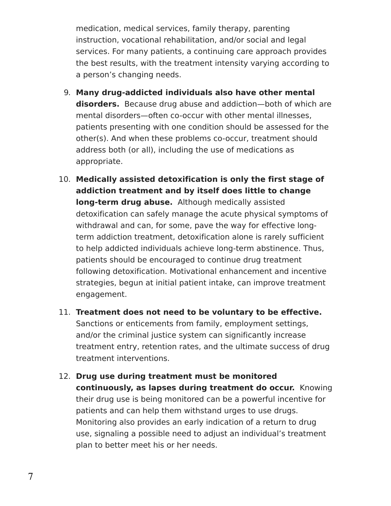medication, medical services, family therapy, parenting instruction, vocational rehabilitation, and/or social and legal services. For many patients, a continuing care approach provides the best results, with the treatment intensity varying according to a person's changing needs.

- 9. **Many drug-addicted individuals also have other mental disorders.** Because drug abuse and addiction—both of which are mental disorders—often co-occur with other mental illnesses, patients presenting with one condition should be assessed for the other(s). And when these problems co-occur, treatment should address both (or all), including the use of medications as appropriate.
- 10. **Medically assisted detoxification is only the first stage of addiction treatment and by itself does little to change long-term drug abuse.** Although medically assisted detoxification can safely manage the acute physical symptoms of withdrawal and can, for some, pave the way for effective longterm addiction treatment, detoxification alone is rarely sufficient to help addicted individuals achieve long-term abstinence. Thus, patients should be encouraged to continue drug treatment following detoxification. Motivational enhancement and incentive strategies, begun at initial patient intake, can improve treatment engagement.
- 11. **Treatment does not need to be voluntary to be effective.** Sanctions or enticements from family, employment settings, and/or the criminal justice system can significantly increase treatment entry, retention rates, and the ultimate success of drug treatment interventions.
- 12. **Drug use during treatment must be monitored continuously, as lapses during treatment do occur.** Knowing their drug use is being monitored can be a powerful incentive for patients and can help them withstand urges to use drugs. Monitoring also provides an early indication of a return to drug use, signaling a possible need to adjust an individual's treatment plan to better meet his or her needs.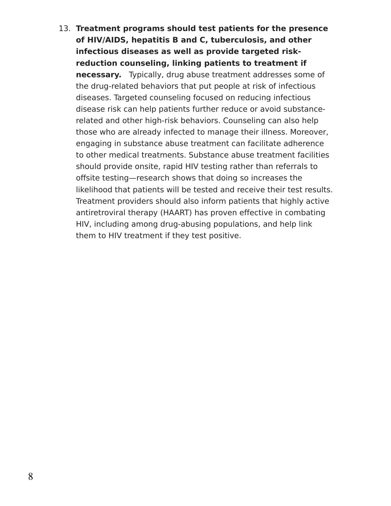13. **Treatment programs should test patients for the presence of HIV/AIDS, hepatitis B and C, tuberculosis, and other infectious diseases as well as provide targeted riskreduction counseling, linking patients to treatment if necessary.** Typically, drug abuse treatment addresses some of the drug-related behaviors that put people at risk of infectious diseases. Targeted counseling focused on reducing infectious disease risk can help patients further reduce or avoid substancerelated and other high-risk behaviors. Counseling can also help those who are already infected to manage their illness. Moreover, engaging in substance abuse treatment can facilitate adherence to other medical treatments. Substance abuse treatment facilities should provide onsite, rapid HIV testing rather than referrals to offsite testing—research shows that doing so increases the likelihood that patients will be tested and receive their test results. Treatment providers should also inform patients that highly active antiretroviral therapy (HAART) has proven effective in combating HIV, including among drug-abusing populations, and help link them to HIV treatment if they test positive.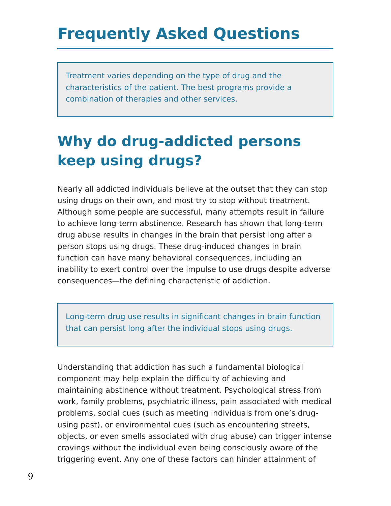# **Frequently Asked Questions**

Treatment varies depending on the type of drug and the characteristics of the patient. The best programs provide a combination of therapies and other services.

## **Why do drug-addicted persons keep using drugs?**

Nearly all addicted individuals believe at the outset that they can stop using drugs on their own, and most try to stop without treatment. Although some people are successful, many attempts result in failure to achieve long-term abstinence. Research has shown that long-term drug abuse results in changes in the brain that persist long after a person stops using drugs. These drug-induced changes in brain function can have many behavioral consequences, including an inability to exert control over the impulse to use drugs despite adverse consequences—the defining characteristic of addiction.

Long-term drug use results in significant changes in brain function that can persist long after the individual stops using drugs.

Understanding that addiction has such a fundamental biological component may help explain the difficulty of achieving and maintaining abstinence without treatment. Psychological stress from work, family problems, psychiatric illness, pain associated with medical problems, social cues (such as meeting individuals from one's drugusing past), or environmental cues (such as encountering streets, objects, or even smells associated with drug abuse) can trigger intense cravings without the individual even being consciously aware of the triggering event. Any one of these factors can hinder attainment of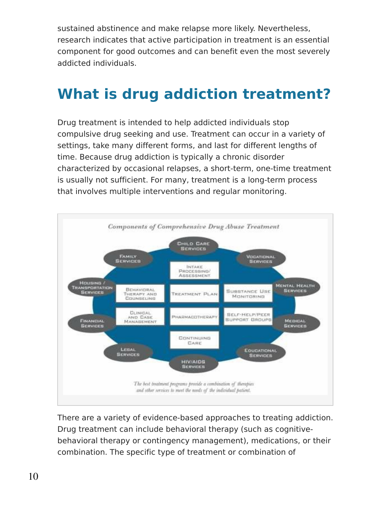sustained abstinence and make relapse more likely. Nevertheless, research indicates that active participation in treatment is an essential component for good outcomes and can benefit even the most severely addicted individuals.

### **What is drug addiction treatment?**

Drug treatment is intended to help addicted individuals stop compulsive drug seeking and use. Treatment can occur in a variety of settings, take many different forms, and last for different lengths of time. Because drug addiction is typically a chronic disorder characterized by occasional relapses, a short-term, one-time treatment is usually not sufficient. For many, treatment is a long-term process that involves multiple interventions and regular monitoring.



There are a variety of evidence-based approaches to treating addiction. Drug treatment can include behavioral therapy (such as cognitivebehavioral therapy or contingency management), medications, or their combination. The specific type of treatment or combination of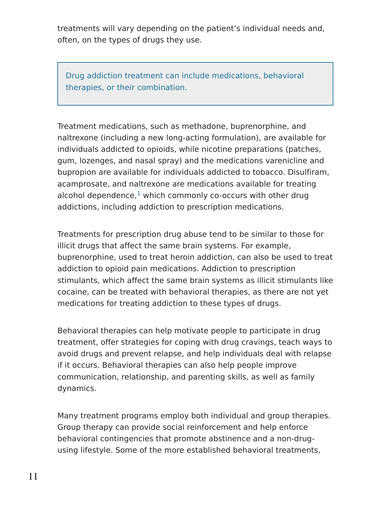treatments will vary depending on the patient's individual needs and, often, on the types of drugs they use.

Drug addiction treatment can include medications, behavioral therapies, or their combination.

Treatment medications, such as methadone, buprenorphine, and naltrexone (including a new long-acting formulation), are available for individuals addicted to opioids, while nicotine preparations (patches, gum, lozenges, and nasal spray) and the medications varenicline and bupropion are available for individuals addicted to tobacco. Disulfiram, acamprosate, and naltrexone are medications available for treating alcohol dependence, $^1$  $^1$  which commonly co-occurs with other drug addictions, including addiction to prescription medications.

Treatments for prescription drug abuse tend to be similar to those for illicit drugs that affect the same brain systems. For example, buprenorphine, used to treat heroin addiction, can also be used to treat addiction to opioid pain medications. Addiction to prescription stimulants, which affect the same brain systems as illicit stimulants like cocaine, can be treated with behavioral therapies, as there are not yet medications for treating addiction to these types of drugs.

Behavioral therapies can help motivate people to participate in drug treatment, offer strategies for coping with drug cravings, teach ways to avoid drugs and prevent relapse, and help individuals deal with relapse if it occurs. Behavioral therapies can also help people improve communication, relationship, and parenting skills, as well as family dynamics.

Many treatment programs employ both individual and group therapies. Group therapy can provide social reinforcement and help enforce behavioral contingencies that promote abstinence and a non-drugusing lifestyle. Some of the more established behavioral treatments,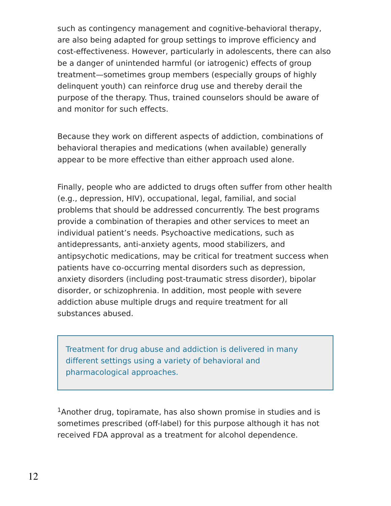such as contingency management and cognitive-behavioral therapy, are also being adapted for group settings to improve efficiency and cost-effectiveness. However, particularly in adolescents, there can also be a danger of unintended harmful (or iatrogenic) effects of group treatment—sometimes group members (especially groups of highly delinquent youth) can reinforce drug use and thereby derail the purpose of the therapy. Thus, trained counselors should be aware of and monitor for such effects.

Because they work on different aspects of addiction, combinations of behavioral therapies and medications (when available) generally appear to be more effective than either approach used alone.

Finally, people who are addicted to drugs often suffer from other health (e.g., depression, HIV), occupational, legal, familial, and social problems that should be addressed concurrently. The best programs provide a combination of therapies and other services to meet an individual patient's needs. Psychoactive medications, such as antidepressants, anti-anxiety agents, mood stabilizers, and antipsychotic medications, may be critical for treatment success when patients have co-occurring mental disorders such as depression, anxiety disorders (including post-traumatic stress disorder), bipolar disorder, or schizophrenia. In addition, most people with severe addiction abuse multiple drugs and require treatment for all substances abused.

Treatment for drug abuse and addiction is delivered in many different settings using a variety of behavioral and pharmacological approaches.

 $1$ Another drug, topiramate, has also shown promise in studies and is sometimes prescribed (off-label) for this purpose although it has not received FDA approval as a treatment for alcohol dependence.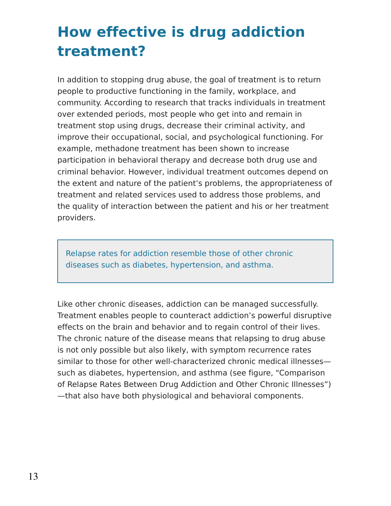## **How effective is drug addiction treatment?**

In addition to stopping drug abuse, the goal of treatment is to return people to productive functioning in the family, workplace, and community. According to research that tracks individuals in treatment over extended periods, most people who get into and remain in treatment stop using drugs, decrease their criminal activity, and improve their occupational, social, and psychological functioning. For example, methadone treatment has been shown to increase participation in behavioral therapy and decrease both drug use and criminal behavior. However, individual treatment outcomes depend on the extent and nature of the patient's problems, the appropriateness of treatment and related services used to address those problems, and the quality of interaction between the patient and his or her treatment providers.

Relapse rates for addiction resemble those of other chronic diseases such as diabetes, hypertension, and asthma.

Like other chronic diseases, addiction can be managed successfully. Treatment enables people to counteract addiction's powerful disruptive effects on the brain and behavior and to regain control of their lives. The chronic nature of the disease means that relapsing to drug abuse is not only possible but also likely, with symptom recurrence rates similar to those for other well-characterized chronic medical illnesses such as diabetes, hypertension, and asthma (see figure, "Comparison of Relapse Rates Between Drug Addiction and Other Chronic Illnesses") —that also have both physiological and behavioral components.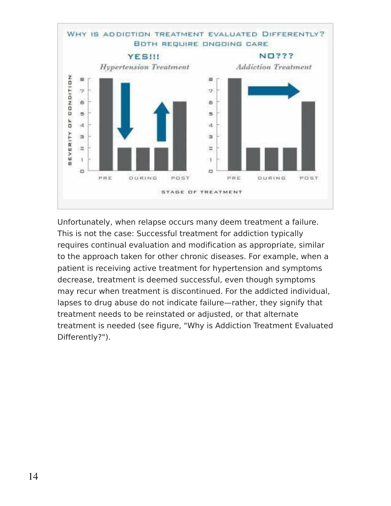

Unfortunately, when relapse occurs many deem treatment a failure. This is not the case: Successful treatment for addiction typically requires continual evaluation and modification as appropriate, similar to the approach taken for other chronic diseases. For example, when a patient is receiving active treatment for hypertension and symptoms decrease, treatment is deemed successful, even though symptoms may recur when treatment is discontinued. For the addicted individual, lapses to drug abuse do not indicate failure—rather, they signify that treatment needs to be reinstated or adjusted, or that alternate treatment is needed (see figure, "Why is Addiction Treatment Evaluated Differently?").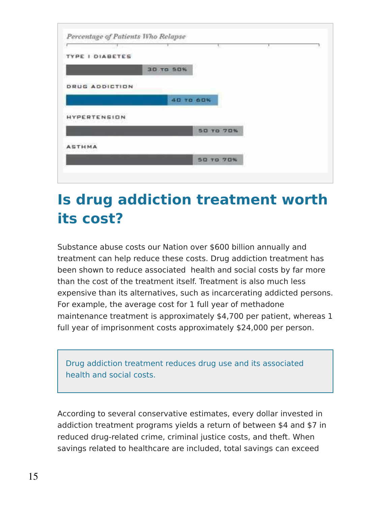| TYPE I DIABETES       |                 |           |                  |  |
|-----------------------|-----------------|-----------|------------------|--|
|                       |                 | 30 та 50% |                  |  |
| <b>DRUG ADDICTION</b> |                 |           |                  |  |
|                       |                 |           |                  |  |
|                       |                 |           | 40 TO 60%        |  |
| <b>HYPERTENSION</b>   | <b>CROCHEAN</b> |           |                  |  |
|                       |                 |           | <b>50 TO 70%</b> |  |
| <b>ASTHMA</b>         |                 |           |                  |  |

### **Is drug addiction treatment worth its cost?**

Substance abuse costs our Nation over \$600 billion annually and treatment can help reduce these costs. Drug addiction treatment has been shown to reduce associated health and social costs by far more than the cost of the treatment itself. Treatment is also much less expensive than its alternatives, such as incarcerating addicted persons. For example, the average cost for 1 full year of methadone maintenance treatment is approximately \$4,700 per patient, whereas 1 full year of imprisonment costs approximately \$24,000 per person.

Drug addiction treatment reduces drug use and its associated health and social costs.

According to several conservative estimates, every dollar invested in addiction treatment programs yields a return of between \$4 and \$7 in reduced drug-related crime, criminal justice costs, and theft. When savings related to healthcare are included, total savings can exceed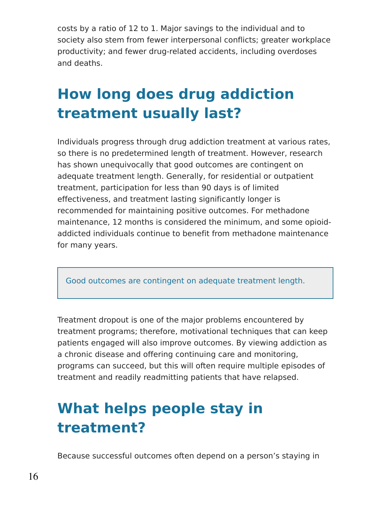costs by a ratio of 12 to 1. Major savings to the individual and to society also stem from fewer interpersonal conflicts; greater workplace productivity; and fewer drug-related accidents, including overdoses and deaths.

## **How long does drug addiction treatment usually last?**

Individuals progress through drug addiction treatment at various rates, so there is no predetermined length of treatment. However, research has shown unequivocally that good outcomes are contingent on adequate treatment length. Generally, for residential or outpatient treatment, participation for less than 90 days is of limited effectiveness, and treatment lasting significantly longer is recommended for maintaining positive outcomes. For methadone maintenance, 12 months is considered the minimum, and some opioidaddicted individuals continue to benefit from methadone maintenance for many years.

Good outcomes are contingent on adequate treatment length.

Treatment dropout is one of the major problems encountered by treatment programs; therefore, motivational techniques that can keep patients engaged will also improve outcomes. By viewing addiction as a chronic disease and offering continuing care and monitoring, programs can succeed, but this will often require multiple episodes of treatment and readily readmitting patients that have relapsed.

# **What helps people stay in treatment?**

Because successful outcomes often depend on a person's staying in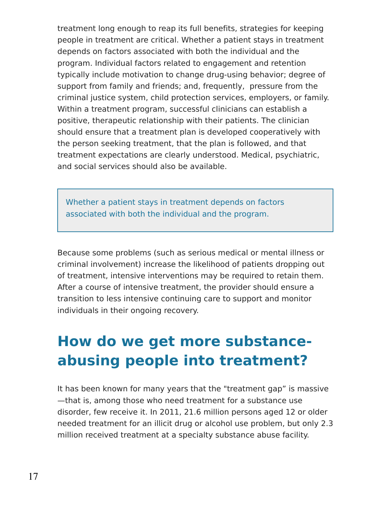treatment long enough to reap its full benefits, strategies for keeping people in treatment are critical. Whether a patient stays in treatment depends on factors associated with both the individual and the program. Individual factors related to engagement and retention typically include motivation to change drug-using behavior; degree of support from family and friends; and, frequently, pressure from the criminal justice system, child protection services, employers, or family. Within a treatment program, successful clinicians can establish a positive, therapeutic relationship with their patients. The clinician should ensure that a treatment plan is developed cooperatively with the person seeking treatment, that the plan is followed, and that treatment expectations are clearly understood. Medical, psychiatric, and social services should also be available.

Whether a patient stays in treatment depends on factors associated with both the individual and the program.

Because some problems (such as serious medical or mental illness or criminal involvement) increase the likelihood of patients dropping out of treatment, intensive interventions may be required to retain them. After a course of intensive treatment, the provider should ensure a transition to less intensive continuing care to support and monitor individuals in their ongoing recovery.

## **How do we get more substanceabusing people into treatment?**

It has been known for many years that the "treatment gap" is massive —that is, among those who need treatment for a substance use disorder, few receive it. In 2011, 21.6 million persons aged 12 or older needed treatment for an illicit drug or alcohol use problem, but only 2.3 million received treatment at a specialty substance abuse facility.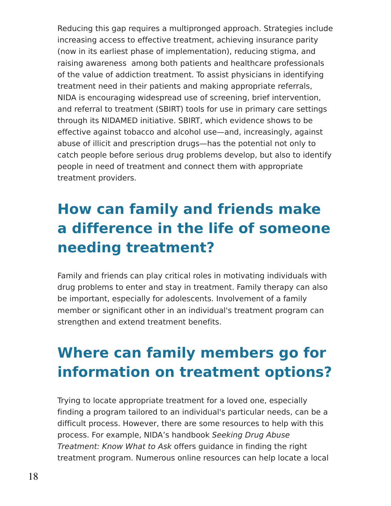Reducing this gap requires a multipronged approach. Strategies include increasing access to effective treatment, achieving insurance parity (now in its earliest phase of implementation), reducing stigma, and raising awareness among both patients and healthcare professionals of the value of addiction treatment. To assist physicians in identifying treatment need in their patients and making appropriate referrals, NIDA is encouraging widespread use of screening, brief intervention, and referral to treatment (SBIRT) tools for use in primary care settings through its NIDAMED initiative. SBIRT, which evidence shows to be effective against tobacco and alcohol use—and, increasingly, against abuse of illicit and prescription drugs—has the potential not only to catch people before serious drug problems develop, but also to identify people in need of treatment and connect them with appropriate treatment providers.

## **How can family and friends make a difference in the life of someone needing treatment?**

Family and friends can play critical roles in motivating individuals with drug problems to enter and stay in treatment. Family therapy can also be important, especially for adolescents. Involvement of a family member or significant other in an individual's treatment program can strengthen and extend treatment benefits.

## **Where can family members go for information on treatment options?**

Trying to locate appropriate treatment for a loved one, especially finding a program tailored to an individual's particular needs, can be a difficult process. However, there are some resources to help with this process. For example, NIDA's handbook Seeking Drug Abuse Treatment: Know What to Ask offers guidance in finding the right treatment program. Numerous online resources can help locate a local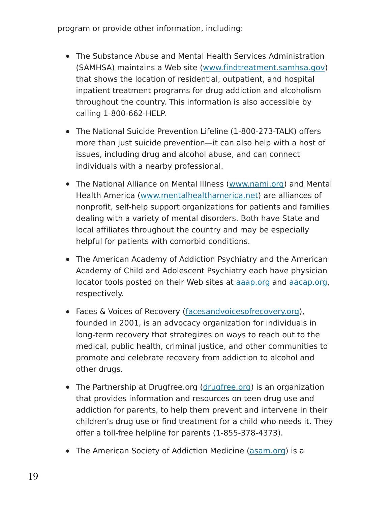program or provide other information, including:

- The Substance Abuse and Mental Health Services Administration (SAMHSA) maintains a Web site [\(www.findtreatment.samhsa.gov](http://www.findtreatment.samhsa.gov/)) that shows the location of residential, outpatient, and hospital inpatient treatment programs for drug addiction and alcoholism throughout the country. This information is also accessible by calling 1-800-662-HELP.
- The National Suicide Prevention Lifeline (1-800-273-TALK) offers more than just suicide prevention—it can also help with a host of issues, including drug and alcohol abuse, and can connect individuals with a nearby professional.
- The National Alliance on Mental Illness [\(www.nami.org](http://www.nami.org/)) and Mental Health America [\(www.mentalhealthamerica.net](http://www.mentalhealthamerica.net/)) are alliances of nonprofit, self-help support organizations for patients and families dealing with a variety of mental disorders. Both have State and local affiliates throughout the country and may be especially helpful for patients with comorbid conditions.
- The American Academy of Addiction Psychiatry and the American Academy of Child and Adolescent Psychiatry each have physician locator tools posted on their Web sites at [aaap.org](http://www.aaap.org/) and [aacap.org](http://www.aacap.org/), respectively.
- Faces & Voices of Recovery [\(facesandvoicesofrecovery.org](http://facesandvoicesofrecovery.org/)), founded in 2001, is an advocacy organization for individuals in long-term recovery that strategizes on ways to reach out to the medical, public health, criminal justice, and other communities to promote and celebrate recovery from addiction to alcohol and other drugs.
- The Partnership at Drugfree.org [\(drugfree.org](http://drugfree.org/)) is an organization that provides information and resources on teen drug use and addiction for parents, to help them prevent and intervene in their children's drug use or find treatment for a child who needs it. They offer a toll-free helpline for parents (1-855-378-4373).
- The American Society of Addiction Medicine [\(asam.org](http://www.asam.org/)) is a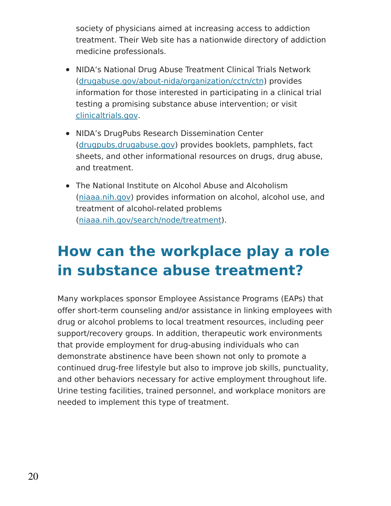society of physicians aimed at increasing access to addiction treatment. Their Web site has a nationwide directory of addiction medicine professionals.

- NIDA's National Drug Abuse Treatment Clinical Trials Network [\(drugabuse.gov/about-nida/organization/cctn/ctn](http://drugabuse.gov/about-nida/organization/cctn/ctn)) provides information for those interested in participating in a clinical trial testing a promising substance abuse intervention; or visit [clinicaltrials.gov](http://clinicaltrials.gov/).
- NIDA's DrugPubs Research Dissemination Center [\(drugpubs.drugabuse.gov](https://drugpubs.drugabuse.gov/)) provides booklets, pamphlets, fact sheets, and other informational resources on drugs, drug abuse, and treatment.
- The National Institute on Alcohol Abuse and Alcoholism [\(niaaa.nih.gov](http://niaaa.nih.gov/)) provides information on alcohol, alcohol use, and treatment of alcohol-related problems [\(niaaa.nih.gov/search/node/treatment](http://niaaa.nih.gov/search/node/treatment)).

## **How can the workplace play a role in substance abuse treatment?**

Many workplaces sponsor Employee Assistance Programs (EAPs) that offer short-term counseling and/or assistance in linking employees with drug or alcohol problems to local treatment resources, including peer support/recovery groups. In addition, therapeutic work environments that provide employment for drug-abusing individuals who can demonstrate abstinence have been shown not only to promote a continued drug-free lifestyle but also to improve job skills, punctuality, and other behaviors necessary for active employment throughout life. Urine testing facilities, trained personnel, and workplace monitors are needed to implement this type of treatment.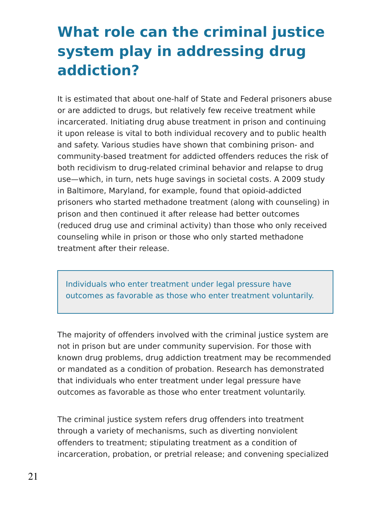## **What role can the criminal justice system play in addressing drug addiction?**

It is estimated that about one-half of State and Federal prisoners abuse or are addicted to drugs, but relatively few receive treatment while incarcerated. Initiating drug abuse treatment in prison and continuing it upon release is vital to both individual recovery and to public health and safety. Various studies have shown that combining prison- and community-based treatment for addicted offenders reduces the risk of both recidivism to drug-related criminal behavior and relapse to drug use—which, in turn, nets huge savings in societal costs. A 2009 study in Baltimore, Maryland, for example, found that opioid-addicted prisoners who started methadone treatment (along with counseling) in prison and then continued it after release had better outcomes (reduced drug use and criminal activity) than those who only received counseling while in prison or those who only started methadone treatment after their release.

Individuals who enter treatment under legal pressure have outcomes as favorable as those who enter treatment voluntarily.

The majority of offenders involved with the criminal justice system are not in prison but are under community supervision. For those with known drug problems, drug addiction treatment may be recommended or mandated as a condition of probation. Research has demonstrated that individuals who enter treatment under legal pressure have outcomes as favorable as those who enter treatment voluntarily.

The criminal justice system refers drug offenders into treatment through a variety of mechanisms, such as diverting nonviolent offenders to treatment; stipulating treatment as a condition of incarceration, probation, or pretrial release; and convening specialized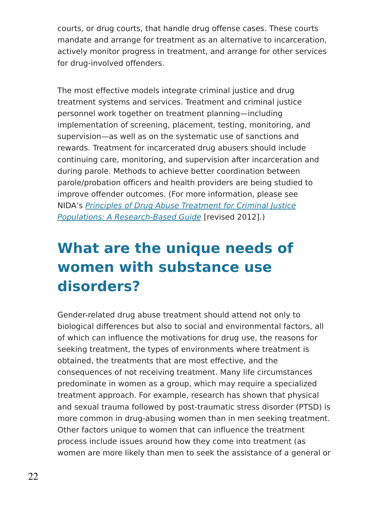courts, or drug courts, that handle drug offense cases. These courts mandate and arrange for treatment as an alternative to incarceration, actively monitor progress in treatment, and arrange for other services for drug-involved offenders.

The most effective models integrate criminal justice and drug treatment systems and services. Treatment and criminal justice personnel work together on treatment planning—including implementation of screening, placement, testing, monitoring, and supervision—as well as on the systematic use of sanctions and rewards. Treatment for incarcerated drug abusers should include continuing care, monitoring, and supervision after incarceration and during parole. Methods to achieve better coordination between parole/probation officers and health providers are being studied to improve offender outcomes. (For more information, please see NIDA's Principles of Drug Abuse Treatment for Criminal Justice Populations: A [Research-Based](https://www.drugabuse.gov/publications/principles-drug-abuse-treatment-criminal-justice-populations-research-based-guide) Guide [revised 2012].)

## **What are the unique needs of women with substance use disorders?**

Gender-related drug abuse treatment should attend not only to biological differences but also to social and environmental factors, all of which can influence the motivations for drug use, the reasons for seeking treatment, the types of environments where treatment is obtained, the treatments that are most effective, and the consequences of not receiving treatment. Many life circumstances predominate in women as a group, which may require a specialized treatment approach. For example, research has shown that physical and sexual trauma followed by post-traumatic stress disorder (PTSD) is more common in drug-abusing women than in men seeking treatment. Other factors unique to women that can influence the treatment process include issues around how they come into treatment (as women are more likely than men to seek the assistance of a general or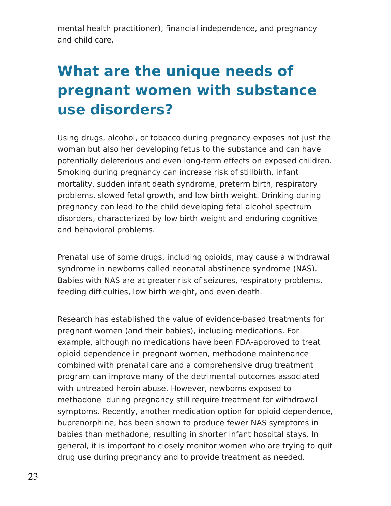mental health practitioner), financial independence, and pregnancy and child care.

## **What are the unique needs of pregnant women with substance use disorders?**

Using drugs, alcohol, or tobacco during pregnancy exposes not just the woman but also her developing fetus to the substance and can have potentially deleterious and even long-term effects on exposed children. Smoking during pregnancy can increase risk of stillbirth, infant mortality, sudden infant death syndrome, preterm birth, respiratory problems, slowed fetal growth, and low birth weight. Drinking during pregnancy can lead to the child developing fetal alcohol spectrum disorders, characterized by low birth weight and enduring cognitive and behavioral problems.

Prenatal use of some drugs, including opioids, may cause a withdrawal syndrome in newborns called neonatal abstinence syndrome (NAS). Babies with NAS are at greater risk of seizures, respiratory problems, feeding difficulties, low birth weight, and even death.

Research has established the value of evidence-based treatments for pregnant women (and their babies), including medications. For example, although no medications have been FDA-approved to treat opioid dependence in pregnant women, methadone maintenance combined with prenatal care and a comprehensive drug treatment program can improve many of the detrimental outcomes associated with untreated heroin abuse. However, newborns exposed to methadone during pregnancy still require treatment for withdrawal symptoms. Recently, another medication option for opioid dependence, buprenorphine, has been shown to produce fewer NAS symptoms in babies than methadone, resulting in shorter infant hospital stays. In general, it is important to closely monitor women who are trying to quit drug use during pregnancy and to provide treatment as needed.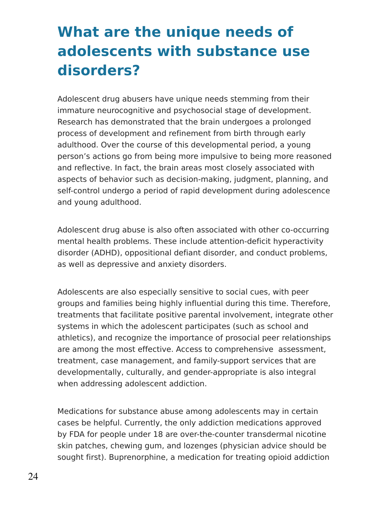## **What are the unique needs of adolescents with substance use disorders?**

Adolescent drug abusers have unique needs stemming from their immature neurocognitive and psychosocial stage of development. Research has demonstrated that the brain undergoes a prolonged process of development and refinement from birth through early adulthood. Over the course of this developmental period, a young person's actions go from being more impulsive to being more reasoned and reflective. In fact, the brain areas most closely associated with aspects of behavior such as decision-making, judgment, planning, and self-control undergo a period of rapid development during adolescence and young adulthood.

Adolescent drug abuse is also often associated with other co-occurring mental health problems. These include attention-deficit hyperactivity disorder (ADHD), oppositional defiant disorder, and conduct problems, as well as depressive and anxiety disorders.

Adolescents are also especially sensitive to social cues, with peer groups and families being highly influential during this time. Therefore, treatments that facilitate positive parental involvement, integrate other systems in which the adolescent participates (such as school and athletics), and recognize the importance of prosocial peer relationships are among the most effective. Access to comprehensive assessment, treatment, case management, and family-support services that are developmentally, culturally, and gender-appropriate is also integral when addressing adolescent addiction.

Medications for substance abuse among adolescents may in certain cases be helpful. Currently, the only addiction medications approved by FDA for people under 18 are over-the-counter transdermal nicotine skin patches, chewing gum, and lozenges (physician advice should be sought first). Buprenorphine, a medication for treating opioid addiction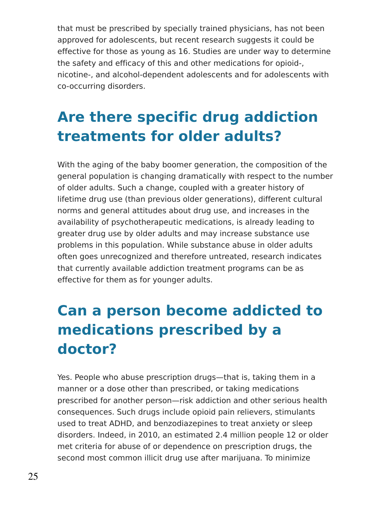that must be prescribed by specially trained physicians, has not been approved for adolescents, but recent research suggests it could be effective for those as young as 16. Studies are under way to determine the safety and efficacy of this and other medications for opioid-, nicotine-, and alcohol-dependent adolescents and for adolescents with co-occurring disorders.

## **Are there specific drug addiction treatments for older adults?**

With the aging of the baby boomer generation, the composition of the general population is changing dramatically with respect to the number of older adults. Such a change, coupled with a greater history of lifetime drug use (than previous older generations), different cultural norms and general attitudes about drug use, and increases in the availability of psychotherapeutic medications, is already leading to greater drug use by older adults and may increase substance use problems in this population. While substance abuse in older adults often goes unrecognized and therefore untreated, research indicates that currently available addiction treatment programs can be as effective for them as for younger adults.

## **Can a person become addicted to medications prescribed by a doctor?**

Yes. People who abuse prescription drugs—that is, taking them in a manner or a dose other than prescribed, or taking medications prescribed for another person—risk addiction and other serious health consequences. Such drugs include opioid pain relievers, stimulants used to treat ADHD, and benzodiazepines to treat anxiety or sleep disorders. Indeed, in 2010, an estimated 2.4 million people 12 or older met criteria for abuse of or dependence on prescription drugs, the second most common illicit drug use after marijuana. To minimize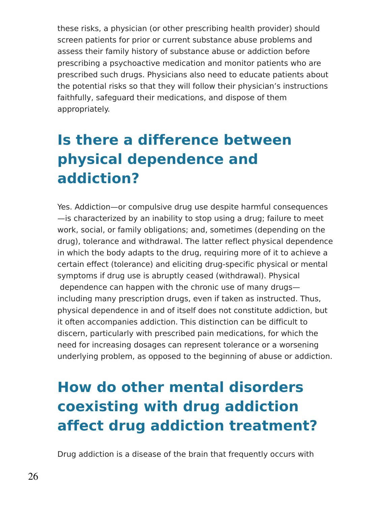these risks, a physician (or other prescribing health provider) should screen patients for prior or current substance abuse problems and assess their family history of substance abuse or addiction before prescribing a psychoactive medication and monitor patients who are prescribed such drugs. Physicians also need to educate patients about the potential risks so that they will follow their physician's instructions faithfully, safeguard their medications, and dispose of them appropriately.

## **Is there a difference between physical dependence and addiction?**

Yes. Addiction—or compulsive drug use despite harmful consequences —is characterized by an inability to stop using a drug; failure to meet work, social, or family obligations; and, sometimes (depending on the drug), tolerance and withdrawal. The latter reflect physical dependence in which the body adapts to the drug, requiring more of it to achieve a certain effect (tolerance) and eliciting drug-specific physical or mental symptoms if drug use is abruptly ceased (withdrawal). Physical dependence can happen with the chronic use of many drugs including many prescription drugs, even if taken as instructed. Thus, physical dependence in and of itself does not constitute addiction, but it often accompanies addiction. This distinction can be difficult to discern, particularly with prescribed pain medications, for which the need for increasing dosages can represent tolerance or a worsening underlying problem, as opposed to the beginning of abuse or addiction.

## **How do other mental disorders coexisting with drug addiction affect drug addiction treatment?**

Drug addiction is a disease of the brain that frequently occurs with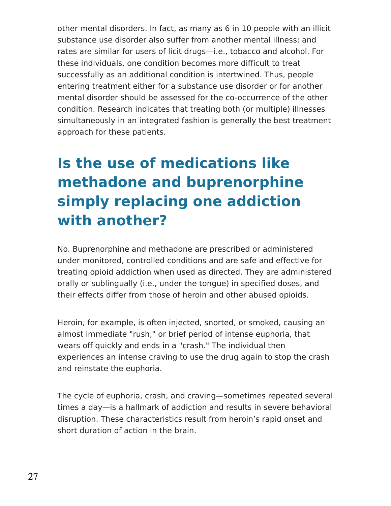other mental disorders. In fact, as many as 6 in 10 people with an illicit substance use disorder also suffer from another mental illness; and rates are similar for users of licit drugs—i.e., tobacco and alcohol. For these individuals, one condition becomes more difficult to treat successfully as an additional condition is intertwined. Thus, people entering treatment either for a substance use disorder or for another mental disorder should be assessed for the co-occurrence of the other condition. Research indicates that treating both (or multiple) illnesses simultaneously in an integrated fashion is generally the best treatment approach for these patients.

# **Is the use of medications like methadone and buprenorphine simply replacing one addiction with another?**

No. Buprenorphine and methadone are prescribed or administered under monitored, controlled conditions and are safe and effective for treating opioid addiction when used as directed. They are administered orally or sublingually (i.e., under the tongue) in specified doses, and their effects differ from those of heroin and other abused opioids.

Heroin, for example, is often injected, snorted, or smoked, causing an almost immediate "rush," or brief period of intense euphoria, that wears off quickly and ends in a "crash." The individual then experiences an intense craving to use the drug again to stop the crash and reinstate the euphoria.

The cycle of euphoria, crash, and craving—sometimes repeated several times a day—is a hallmark of addiction and results in severe behavioral disruption. These characteristics result from heroin's rapid onset and short duration of action in the brain.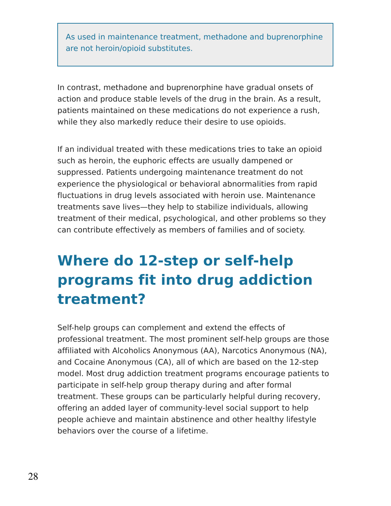As used in maintenance treatment, methadone and buprenorphine are not heroin/opioid substitutes.

In contrast, methadone and buprenorphine have gradual onsets of action and produce stable levels of the drug in the brain. As a result, patients maintained on these medications do not experience a rush, while they also markedly reduce their desire to use opioids.

If an individual treated with these medications tries to take an opioid such as heroin, the euphoric effects are usually dampened or suppressed. Patients undergoing maintenance treatment do not experience the physiological or behavioral abnormalities from rapid fluctuations in drug levels associated with heroin use. Maintenance treatments save lives—they help to stabilize individuals, allowing treatment of their medical, psychological, and other problems so they can contribute effectively as members of families and of society.

## **Where do 12-step or self-help programs fit into drug addiction treatment?**

Self-help groups can complement and extend the effects of professional treatment. The most prominent self-help groups are those affiliated with Alcoholics Anonymous (AA), Narcotics Anonymous (NA), and Cocaine Anonymous (CA), all of which are based on the 12-step model. Most drug addiction treatment programs encourage patients to participate in self-help group therapy during and after formal treatment. These groups can be particularly helpful during recovery, offering an added layer of community-level social support to help people achieve and maintain abstinence and other healthy lifestyle behaviors over the course of a lifetime.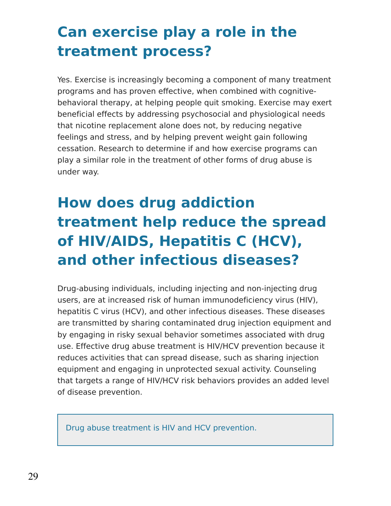## **Can exercise play a role in the treatment process?**

Yes. Exercise is increasingly becoming a component of many treatment programs and has proven effective, when combined with cognitivebehavioral therapy, at helping people quit smoking. Exercise may exert beneficial effects by addressing psychosocial and physiological needs that nicotine replacement alone does not, by reducing negative feelings and stress, and by helping prevent weight gain following cessation. Research to determine if and how exercise programs can play a similar role in the treatment of other forms of drug abuse is under way.

# **How does drug addiction treatment help reduce the spread of HIV/AIDS, Hepatitis C (HCV), and other infectious diseases?**

Drug-abusing individuals, including injecting and non-injecting drug users, are at increased risk of human immunodeficiency virus (HIV), hepatitis C virus (HCV), and other infectious diseases. These diseases are transmitted by sharing contaminated drug injection equipment and by engaging in risky sexual behavior sometimes associated with drug use. Effective drug abuse treatment is HIV/HCV prevention because it reduces activities that can spread disease, such as sharing injection equipment and engaging in unprotected sexual activity. Counseling that targets a range of HIV/HCV risk behaviors provides an added level of disease prevention.

Drug abuse treatment is HIV and HCV prevention.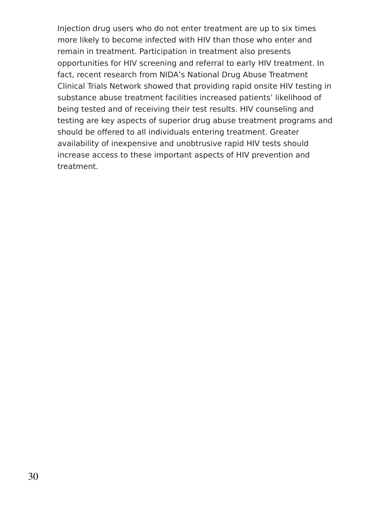Injection drug users who do not enter treatment are up to six times more likely to become infected with HIV than those who enter and remain in treatment. Participation in treatment also presents opportunities for HIV screening and referral to early HIV treatment. In fact, recent research from NIDA's National Drug Abuse Treatment Clinical Trials Network showed that providing rapid onsite HIV testing in substance abuse treatment facilities increased patients' likelihood of being tested and of receiving their test results. HIV counseling and testing are key aspects of superior drug abuse treatment programs and should be offered to all individuals entering treatment. Greater availability of inexpensive and unobtrusive rapid HIV tests should increase access to these important aspects of HIV prevention and treatment.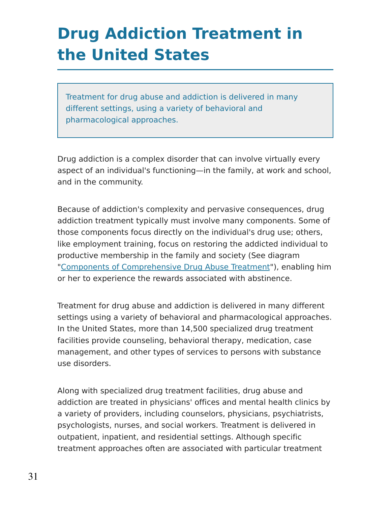# **Drug Addiction Treatment in the United States**

Treatment for drug abuse and addiction is delivered in many different settings, using a variety of behavioral and pharmacological approaches.

Drug addiction is a complex disorder that can involve virtually every aspect of an individual's functioning—in the family, at work and school, and in the community.

Because of addiction's complexity and pervasive consequences, drug addiction treatment typically must involve many components. Some of those components focus directly on the individual's drug use; others, like employment training, focus on restoring the addicted individual to productive membership in the family and society (See diagram "Components of [Comprehensive](https://www.drugabuse.gov/publications/principles-drug-addiction-treatment-research-based-guide-third-edition/frequently-asked-questions/what-drug-addiction-treatment) Drug Abuse Treatment"), enabling him or her to experience the rewards associated with abstinence.

Treatment for drug abuse and addiction is delivered in many different settings using a variety of behavioral and pharmacological approaches. In the United States, more than 14,500 specialized drug treatment facilities provide counseling, behavioral therapy, medication, case management, and other types of services to persons with substance use disorders.

Along with specialized drug treatment facilities, drug abuse and addiction are treated in physicians' offices and mental health clinics by a variety of providers, including counselors, physicians, psychiatrists, psychologists, nurses, and social workers. Treatment is delivered in outpatient, inpatient, and residential settings. Although specific treatment approaches often are associated with particular treatment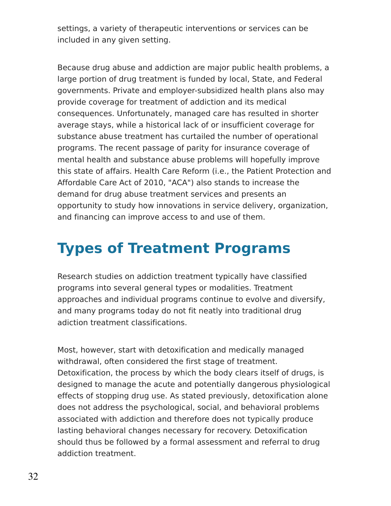settings, a variety of therapeutic interventions or services can be included in any given setting.

Because drug abuse and addiction are major public health problems, a large portion of drug treatment is funded by local, State, and Federal governments. Private and employer-subsidized health plans also may provide coverage for treatment of addiction and its medical consequences. Unfortunately, managed care has resulted in shorter average stays, while a historical lack of or insufficient coverage for substance abuse treatment has curtailed the number of operational programs. The recent passage of parity for insurance coverage of mental health and substance abuse problems will hopefully improve this state of affairs. Health Care Reform (i.e., the Patient Protection and Affordable Care Act of 2010, "ACA") also stands to increase the demand for drug abuse treatment services and presents an opportunity to study how innovations in service delivery, organization, and financing can improve access to and use of them.

### **Types of Treatment Programs**

Research studies on addiction treatment typically have classified programs into several general types or modalities. Treatment approaches and individual programs continue to evolve and diversify, and many programs today do not fit neatly into traditional drug adiction treatment classifications.

Most, however, start with detoxification and medically managed withdrawal, often considered the first stage of treatment. Detoxification, the process by which the body clears itself of drugs, is designed to manage the acute and potentially dangerous physiological effects of stopping drug use. As stated previously, detoxification alone does not address the psychological, social, and behavioral problems associated with addiction and therefore does not typically produce lasting behavioral changes necessary for recovery. Detoxification should thus be followed by a formal assessment and referral to drug addiction treatment.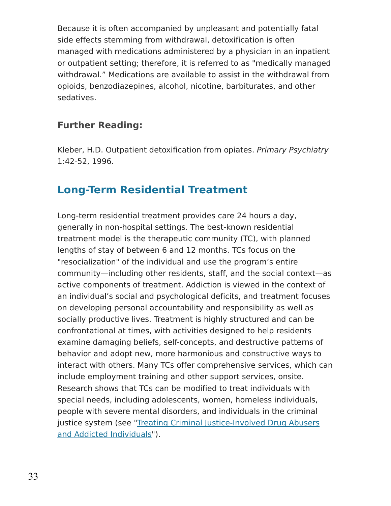Because it is often accompanied by unpleasant and potentially fatal side effects stemming from withdrawal, detoxification is often managed with medications administered by a physician in an inpatient or outpatient setting; therefore, it is referred to as "medically managed withdrawal." Medications are available to assist in the withdrawal from opioids, benzodiazepines, alcohol, nicotine, barbiturates, and other sedatives.

#### **Further Reading:**

Kleber, H.D. Outpatient detoxification from opiates. Primary Psychiatry 1:42-52, 1996.

#### **Long-Term Residential Treatment**

Long-term residential treatment provides care 24 hours a day, generally in non-hospital settings. The best-known residential treatment model is the therapeutic community (TC), with planned lengths of stay of between 6 and 12 months. TCs focus on the "resocialization" of the individual and use the program's entire community—including other residents, staff, and the social context—as active components of treatment. Addiction is viewed in the context of an individual's social and psychological deficits, and treatment focuses on developing personal accountability and responsibility as well as socially productive lives. Treatment is highly structured and can be confrontational at times, with activities designed to help residents examine damaging beliefs, self-concepts, and destructive patterns of behavior and adopt new, more harmonious and constructive ways to interact with others. Many TCs offer comprehensive services, which can include employment training and other support services, onsite. Research shows that TCs can be modified to treat individuals with special needs, including adolescents, women, homeless individuals, people with severe mental disorders, and individuals in the criminal justice system (see "Treating Criminal [Justice-Involved](https://www.drugabuse.gov/publications/principles-drug-addiction-treatment-research-based-guide-third-edition/drug-addiction-treatment-in-united-states/treating-criminal-justice) Drug Abusers and Addicted Individuals").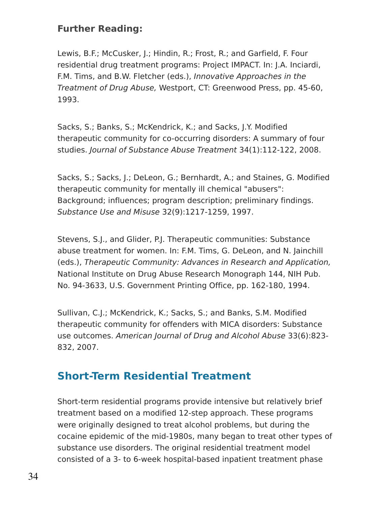#### **Further Reading:**

Lewis, B.F.; McCusker, J.; Hindin, R.; Frost, R.; and Garfield, F. Four residential drug treatment programs: Project IMPACT. In: J.A. Inciardi, F.M. Tims, and B.W. Fletcher (eds.), Innovative Approaches in the Treatment of Drug Abuse, Westport, CT: Greenwood Press, pp. 45-60, 1993.

Sacks, S.; Banks, S.; McKendrick, K.; and Sacks, J.Y. Modified therapeutic community for co-occurring disorders: A summary of four studies. Journal of Substance Abuse Treatment 34(1):112-122, 2008.

Sacks, S.; Sacks, J.; DeLeon, G.; Bernhardt, A.; and Staines, G. Modified therapeutic community for mentally ill chemical "abusers": Background; influences; program description; preliminary findings. Substance Use and Misuse 32(9):1217-1259, 1997.

Stevens, S.J., and Glider, P.J. Therapeutic communities: Substance abuse treatment for women. In: F.M. Tims, G. DeLeon, and N. Jainchill (eds.), Therapeutic Community: Advances in Research and Application, National Institute on Drug Abuse Research Monograph 144, NIH Pub. No. 94-3633, U.S. Government Printing Office, pp. 162-180, 1994.

Sullivan, C.J.; McKendrick, K.; Sacks, S.; and Banks, S.M. Modified therapeutic community for offenders with MICA disorders: Substance use outcomes. American Journal of Drug and Alcohol Abuse 33(6):823- 832, 2007.

#### **Short-Term Residential Treatment**

Short-term residential programs provide intensive but relatively brief treatment based on a modified 12-step approach. These programs were originally designed to treat alcohol problems, but during the cocaine epidemic of the mid-1980s, many began to treat other types of substance use disorders. The original residential treatment model consisted of a 3- to 6-week hospital-based inpatient treatment phase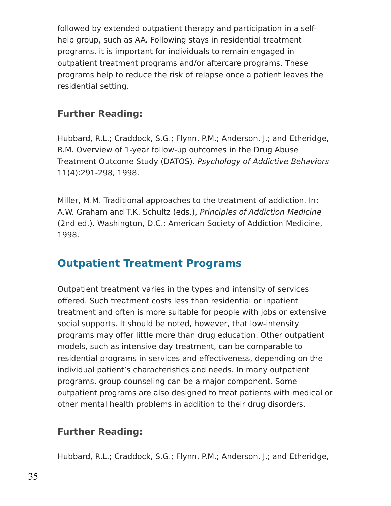followed by extended outpatient therapy and participation in a selfhelp group, such as AA. Following stays in residential treatment programs, it is important for individuals to remain engaged in outpatient treatment programs and/or aftercare programs. These programs help to reduce the risk of relapse once a patient leaves the residential setting.

#### **Further Reading:**

Hubbard, R.L.; Craddock, S.G.; Flynn, P.M.; Anderson, J.; and Etheridge, R.M. Overview of 1-year follow-up outcomes in the Drug Abuse Treatment Outcome Study (DATOS). Psychology of Addictive Behaviors 11(4):291-298, 1998.

Miller, M.M. Traditional approaches to the treatment of addiction. In: A.W. Graham and T.K. Schultz (eds.), Principles of Addiction Medicine (2nd ed.). Washington, D.C.: American Society of Addiction Medicine, 1998.

#### **Outpatient Treatment Programs**

Outpatient treatment varies in the types and intensity of services offered. Such treatment costs less than residential or inpatient treatment and often is more suitable for people with jobs or extensive social supports. It should be noted, however, that low-intensity programs may offer little more than drug education. Other outpatient models, such as intensive day treatment, can be comparable to residential programs in services and effectiveness, depending on the individual patient's characteristics and needs. In many outpatient programs, group counseling can be a major component. Some outpatient programs are also designed to treat patients with medical or other mental health problems in addition to their drug disorders.

#### **Further Reading:**

Hubbard, R.L.; Craddock, S.G.; Flynn, P.M.; Anderson, J.; and Etheridge,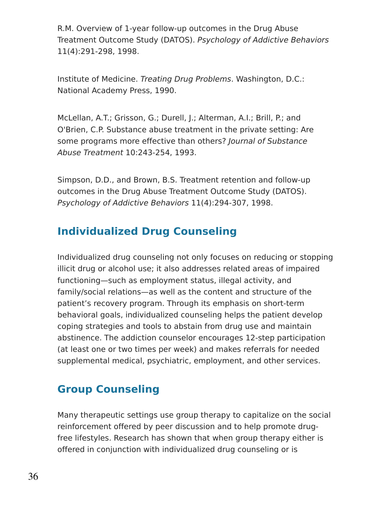R.M. Overview of 1-year follow-up outcomes in the Drug Abuse Treatment Outcome Study (DATOS). Psychology of Addictive Behaviors 11(4):291-298, 1998.

Institute of Medicine. Treating Drug Problems. Washington, D.C.: National Academy Press, 1990.

McLellan, A.T.; Grisson, G.; Durell, J.; Alterman, A.I.; Brill, P.; and O'Brien, C.P. Substance abuse treatment in the private setting: Are some programs more effective than others? Journal of Substance Abuse Treatment 10:243-254, 1993.

Simpson, D.D., and Brown, B.S. Treatment retention and follow-up outcomes in the Drug Abuse Treatment Outcome Study (DATOS). Psychology of Addictive Behaviors 11(4):294-307, 1998.

### **Individualized Drug Counseling**

Individualized drug counseling not only focuses on reducing or stopping illicit drug or alcohol use; it also addresses related areas of impaired functioning—such as employment status, illegal activity, and family/social relations—as well as the content and structure of the patient's recovery program. Through its emphasis on short-term behavioral goals, individualized counseling helps the patient develop coping strategies and tools to abstain from drug use and maintain abstinence. The addiction counselor encourages 12-step participation (at least one or two times per week) and makes referrals for needed supplemental medical, psychiatric, employment, and other services.

### **Group Counseling**

Many therapeutic settings use group therapy to capitalize on the social reinforcement offered by peer discussion and to help promote drugfree lifestyles. Research has shown that when group therapy either is offered in conjunction with individualized drug counseling or is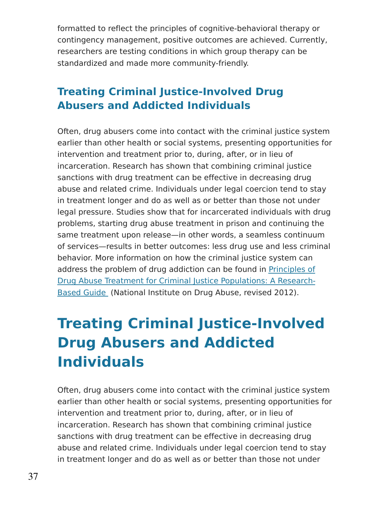formatted to reflect the principles of cognitive-behavioral therapy or contingency management, positive outcomes are achieved. Currently, researchers are testing conditions in which group therapy can be standardized and made more community-friendly.

## **Treating Criminal Justice-Involved Drug Abusers and Addicted Individuals**

Often, drug abusers come into contact with the criminal justice system earlier than other health or social systems, presenting opportunities for intervention and treatment prior to, during, after, or in lieu of incarceration. Research has shown that combining criminal justice sanctions with drug treatment can be effective in decreasing drug abuse and related crime. Individuals under legal coercion tend to stay in treatment longer and do as well as or better than those not under legal pressure. Studies show that for incarcerated individuals with drug problems, starting drug abuse treatment in prison and continuing the same treatment upon release—in other words, a seamless continuum of services—results in better outcomes: less drug use and less criminal behavior. More information on how the criminal justice system can address the problem of drug addiction can be found in Principles of Drug Abuse Treatment for Criminal Justice [Populations:](https://www.drugabuse.gov/publications/principles-drug-abuse-treatment-criminal-justice-populations) A Research-Based Guide (National Institute on Drug Abuse, revised 2012).

# **Treating Criminal Justice-Involved Drug Abusers and Addicted Individuals**

Often, drug abusers come into contact with the criminal justice system earlier than other health or social systems, presenting opportunities for intervention and treatment prior to, during, after, or in lieu of incarceration. Research has shown that combining criminal justice sanctions with drug treatment can be effective in decreasing drug abuse and related crime. Individuals under legal coercion tend to stay in treatment longer and do as well as or better than those not under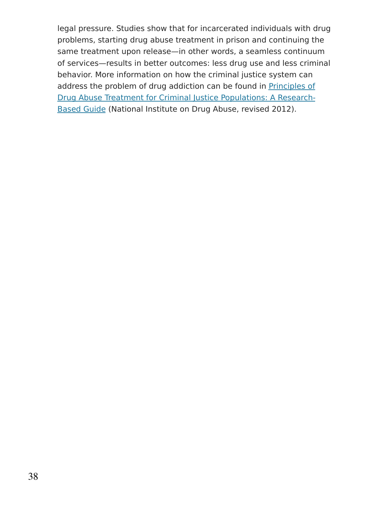legal pressure. Studies show that for incarcerated individuals with drug problems, starting drug abuse treatment in prison and continuing the same treatment upon release—in other words, a seamless continuum of services—results in better outcomes: less drug use and less criminal behavior. More information on how the criminal justice system can address the problem of drug addiction can be found in Principles of Drug Abuse Treatment for Criminal Justice [Populations:](https://www.drugabuse.gov/publications/principles-drug-abuse-treatment-criminal-justice-populations-research-based-guide) A Research-Based Guide (National Institute on Drug Abuse, revised 2012).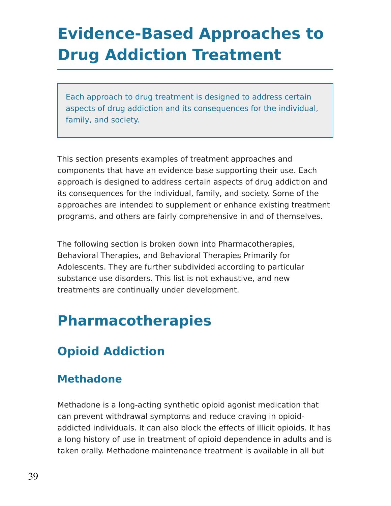# **Evidence-Based Approaches to Drug Addiction Treatment**

Each approach to drug treatment is designed to address certain aspects of drug addiction and its consequences for the individual, family, and society.

This section presents examples of treatment approaches and components that have an evidence base supporting their use. Each approach is designed to address certain aspects of drug addiction and its consequences for the individual, family, and society. Some of the approaches are intended to supplement or enhance existing treatment programs, and others are fairly comprehensive in and of themselves.

The following section is broken down into Pharmacotherapies, Behavioral Therapies, and Behavioral Therapies Primarily for Adolescents. They are further subdivided according to particular substance use disorders. This list is not exhaustive, and new treatments are continually under development.

# **Pharmacotherapies**

## **Opioid Addiction**

## **Methadone**

Methadone is a long-acting synthetic opioid agonist medication that can prevent withdrawal symptoms and reduce craving in opioidaddicted individuals. It can also block the effects of illicit opioids. It has a long history of use in treatment of opioid dependence in adults and is taken orally. Methadone maintenance treatment is available in all but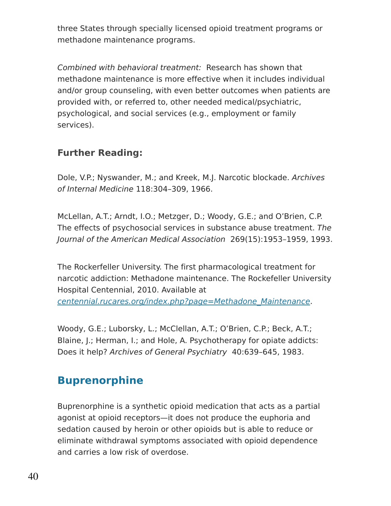three States through specially licensed opioid treatment programs or methadone maintenance programs.

Combined with behavioral treatment: Research has shown that methadone maintenance is more effective when it includes individual and/or group counseling, with even better outcomes when patients are provided with, or referred to, other needed medical/psychiatric, psychological, and social services (e.g., employment or family services).

### **Further Reading:**

Dole, V.P.; Nyswander, M.; and Kreek, M.J. Narcotic blockade. Archives of Internal Medicine 118:304–309, 1966.

McLellan, A.T.; Arndt, I.O.; Metzger, D.; Woody, G.E.; and O'Brien, C.P. The effects of psychosocial services in substance abuse treatment. The Journal of the American Medical Association 269(15):1953–1959, 1993.

The Rockerfeller University. The first pharmacological treatment for narcotic addiction: Methadone maintenance. The Rockefeller University Hospital Centennial, 2010. Available at [centennial.rucares.org/index.php?page=Methadone\\_Maintenance](http://centennial.rucares.org/index.php?page=Methadone_Maintenance).

Woody, G.E.; Luborsky, L.; McClellan, A.T.; O'Brien, C.P.; Beck, A.T.; Blaine, J.; Herman, I.; and Hole, A. Psychotherapy for opiate addicts: Does it help? Archives of General Psychiatry 40:639–645, 1983.

## **Buprenorphine**

Buprenorphine is a synthetic opioid medication that acts as a partial agonist at opioid receptors—it does not produce the euphoria and sedation caused by heroin or other opioids but is able to reduce or eliminate withdrawal symptoms associated with opioid dependence and carries a low risk of overdose.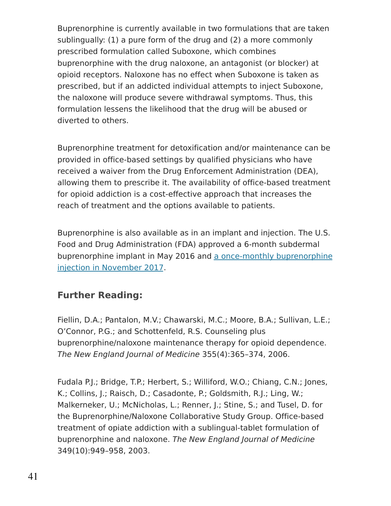Buprenorphine is currently available in two formulations that are taken sublingually: (1) a pure form of the drug and (2) a more commonly prescribed formulation called Suboxone, which combines buprenorphine with the drug naloxone, an antagonist (or blocker) at opioid receptors. Naloxone has no effect when Suboxone is taken as prescribed, but if an addicted individual attempts to inject Suboxone, the naloxone will produce severe withdrawal symptoms. Thus, this formulation lessens the likelihood that the drug will be abused or diverted to others.

Buprenorphine treatment for detoxification and/or maintenance can be provided in office-based settings by qualified physicians who have received a waiver from the Drug Enforcement Administration (DEA), allowing them to prescribe it. The availability of office-based treatment for opioid addiction is a cost-effective approach that increases the reach of treatment and the options available to patients.

Buprenorphine is also available as in an implant and injection. The U.S. Food and Drug Administration (FDA) approved a 6-month subdermal [buprenorphine](https://www.fda.gov/NewsEvents/Newsroom/PressAnnouncements/ucm587312.htm) implant in May 2016 and a once-monthly buprenorphine injection in November 2017.

### **Further Reading:**

Fiellin, D.A.; Pantalon, M.V.; Chawarski, M.C.; Moore, B.A.; Sullivan, L.E.; O'Connor, P.G.; and Schottenfeld, R.S. Counseling plus buprenorphine/naloxone maintenance therapy for opioid dependence. The New England Journal of Medicine 355(4):365–374, 2006.

Fudala P.J.; Bridge, T.P.; Herbert, S.; Williford, W.O.; Chiang, C.N.; Jones, K.; Collins, J.; Raisch, D.; Casadonte, P.; Goldsmith, R.J.; Ling, W.; Malkerneker, U.; McNicholas, L.; Renner, J.; Stine, S.; and Tusel, D. for the Buprenorphine/Naloxone Collaborative Study Group. Office-based treatment of opiate addiction with a sublingual-tablet formulation of buprenorphine and naloxone. The New England Journal of Medicine 349(10):949–958, 2003.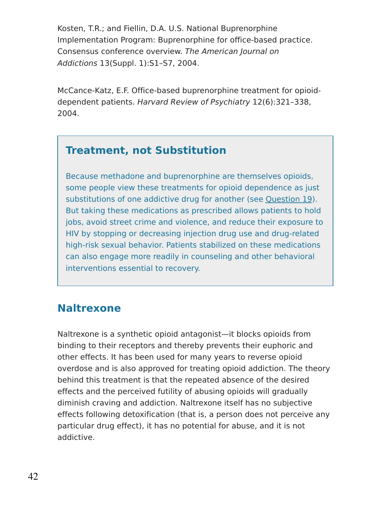Kosten, T.R.; and Fiellin, D.A. U.S. National Buprenorphine Implementation Program: Buprenorphine for office-based practice. Consensus conference overview. The American Journal on Addictions 13(Suppl. 1):S1–S7, 2004.

McCance-Katz, E.F. Office-based buprenorphine treatment for opioiddependent patients. Harvard Review of Psychiatry 12(6):321–338, 2004.

### **Treatment, not Substitution**

Because methadone and buprenorphine are themselves opioids, some people view these treatments for opioid dependence as just substitutions of one addictive drug for another (see [Question](https://www.drugabuse.gov/publications/principles-drug-addiction-treatment-research-based-guide-third-edition/frequently-asked-questions/use-medications-methadone-buprenorphine) 19). But taking these medications as prescribed allows patients to hold jobs, avoid street crime and violence, and reduce their exposure to HIV by stopping or decreasing injection drug use and drug-related high-risk sexual behavior. Patients stabilized on these medications can also engage more readily in counseling and other behavioral interventions essential to recovery.

### **Naltrexone**

Naltrexone is a synthetic opioid antagonist—it blocks opioids from binding to their receptors and thereby prevents their euphoric and other effects. It has been used for many years to reverse opioid overdose and is also approved for treating opioid addiction. The theory behind this treatment is that the repeated absence of the desired effects and the perceived futility of abusing opioids will gradually diminish craving and addiction. Naltrexone itself has no subjective effects following detoxification (that is, a person does not perceive any particular drug effect), it has no potential for abuse, and it is not addictive.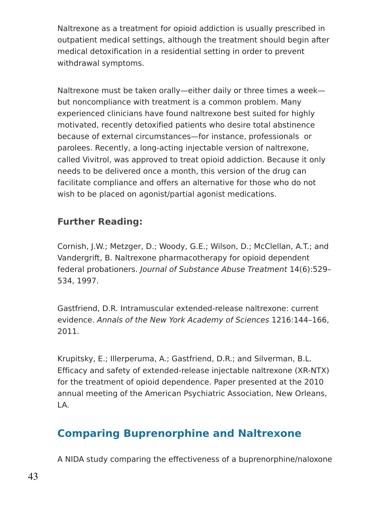Naltrexone as a treatment for opioid addiction is usually prescribed in outpatient medical settings, although the treatment should begin after medical detoxification in a residential setting in order to prevent withdrawal symptoms.

Naltrexone must be taken orally—either daily or three times a week but noncompliance with treatment is a common problem. Many experienced clinicians have found naltrexone best suited for highly motivated, recently detoxified patients who desire total abstinence because of external circumstances—for instance, professionals or parolees. Recently, a long-acting injectable version of naltrexone, called Vivitrol, was approved to treat opioid addiction. Because it only needs to be delivered once a month, this version of the drug can facilitate compliance and offers an alternative for those who do not wish to be placed on agonist/partial agonist medications.

### **Further Reading:**

Cornish, J.W.; Metzger, D.; Woody, G.E.; Wilson, D.; McClellan, A.T.; and Vandergrift, B. Naltrexone pharmacotherapy for opioid dependent federal probationers. Journal of Substance Abuse Treatment 14(6):529– 534, 1997.

Gastfriend, D.R. Intramuscular extended-release naltrexone: current evidence. Annals of the New York Academy of Sciences 1216:144–166, 2011.

Krupitsky, E.; Illerperuma, A.; Gastfriend, D.R.; and Silverman, B.L. Efficacy and safety of extended-release injectable naltrexone (XR-NTX) for the treatment of opioid dependence. Paper presented at the 2010 annual meeting of the American Psychiatric Association, New Orleans, LA.

### **Comparing Buprenorphine and Naltrexone**

A NIDA study comparing the effectiveness of a buprenorphine/naloxone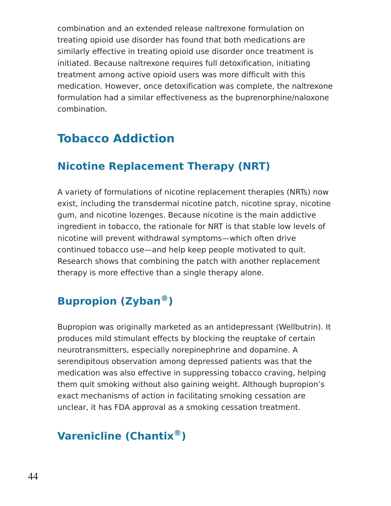combination and an extended release naltrexone formulation on treating opioid use disorder has found that both medications are similarly effective in treating opioid use disorder once treatment is initiated. Because naltrexone requires full detoxification, initiating treatment among active opioid users was more difficult with this medication. However, once detoxification was complete, the naltrexone formulation had a similar effectiveness as the buprenorphine/naloxone combination.

## **Tobacco Addiction**

## **Nicotine Replacement Therapy (NRT)**

A variety of formulations of nicotine replacement therapies (NRTs) now exist, including the transdermal nicotine patch, nicotine spray, nicotine gum, and nicotine lozenges. Because nicotine is the main addictive ingredient in tobacco, the rationale for NRT is that stable low levels of nicotine will prevent withdrawal symptoms—which often drive continued tobacco use—and help keep people motivated to quit. Research shows that combining the patch with another replacement therapy is more effective than a single therapy alone.

## **Bupropion (Zyban ) ®**

Bupropion was originally marketed as an antidepressant (Wellbutrin). It produces mild stimulant effects by blocking the reuptake of certain neurotransmitters, especially norepinephrine and dopamine. A serendipitous observation among depressed patients was that the medication was also effective in suppressing tobacco craving, helping them quit smoking without also gaining weight. Although bupropion's exact mechanisms of action in facilitating smoking cessation are unclear, it has FDA approval as a smoking cessation treatment.

## **Varenicline (Chantix ) ®**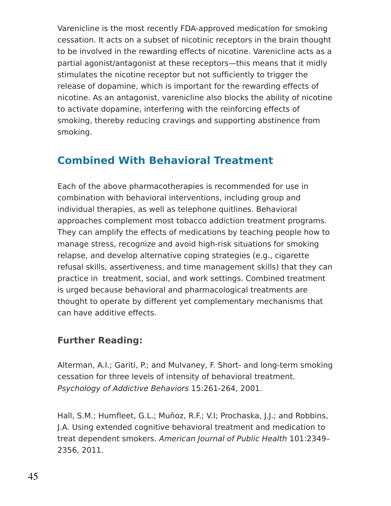Varenicline is the most recently FDA-approved medication for smoking cessation. It acts on a subset of nicotinic receptors in the brain thought to be involved in the rewarding effects of nicotine. Varenicline acts as a partial agonist/antagonist at these receptors—this means that it midly stimulates the nicotine receptor but not sufficiently to trigger the release of dopamine, which is important for the rewarding effects of nicotine. As an antagonist, varenicline also blocks the ability of nicotine to activate dopamine, interfering with the reinforcing effects of smoking, thereby reducing cravings and supporting abstinence from smoking.

### **Combined With Behavioral Treatment**

Each of the above pharmacotherapies is recommended for use in combination with behavioral interventions, including group and individual therapies, as well as telephone quitlines. Behavioral approaches complement most tobacco addiction treatment programs. They can amplify the effects of medications by teaching people how to manage stress, recognize and avoid high-risk situations for smoking relapse, and develop alternative coping strategies (e.g., cigarette refusal skills, assertiveness, and time management skills) that they can practice in treatment, social, and work settings. Combined treatment is urged because behavioral and pharmacological treatments are thought to operate by different yet complementary mechanisms that can have additive effects.

### **Further Reading:**

Alterman, A.I.; Gariti, P.; and Mulvaney, F. Short- and long-term smoking cessation for three levels of intensity of behavioral treatment. Psychology of Addictive Behaviors 15:261-264, 2001.

Hall, S.M.; Humfleet, G.L.; Muñoz, R.F.; V.I; Prochaska, J.J.; and Robbins, J.A. Using extended cognitive behavioral treatment and medication to treat dependent smokers. American Journal of Public Health 101:2349– 2356, 2011.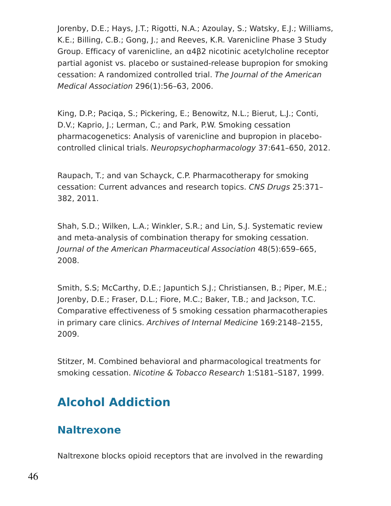Jorenby, D.E.; Hays, J.T.; Rigotti, N.A.; Azoulay, S.; Watsky, E.J.; Williams, K.E.; Billing, C.B.; Gong, J.; and Reeves, K.R. Varenicline Phase 3 Study Group. Efficacy of varenicline, an α4β2 nicotinic acetylcholine receptor partial agonist vs. placebo or sustained-release bupropion for smoking cessation: A randomized controlled trial. The Journal of the American Medical Association 296(1):56–63, 2006.

King, D.P.; Paciqa, S.; Pickering, E.; Benowitz, N.L.; Bierut, L.J.; Conti, D.V.; Kaprio, J.; Lerman, C.; and Park, P.W. Smoking cessation pharmacogenetics: Analysis of varenicline and bupropion in placebocontrolled clinical trials. Neuropsychopharmacology 37:641–650, 2012.

Raupach, T.; and van Schayck, C.P. Pharmacotherapy for smoking cessation: Current advances and research topics. CNS Drugs 25:371– 382, 2011.

Shah, S.D.; Wilken, L.A.; Winkler, S.R.; and Lin, S.J. Systematic review and meta-analysis of combination therapy for smoking cessation. Journal of the American Pharmaceutical Association 48(5):659–665, 2008.

Smith, S.S; McCarthy, D.E.; Japuntich S.J.; Christiansen, B.; Piper, M.E.; Jorenby, D.E.; Fraser, D.L.; Fiore, M.C.; Baker, T.B.; and Jackson, T.C. Comparative effectiveness of 5 smoking cessation pharmacotherapies in primary care clinics. Archives of Internal Medicine 169:2148–2155, 2009.

Stitzer, M. Combined behavioral and pharmacological treatments for smoking cessation. Nicotine & Tobacco Research 1:S181-S187, 1999.

## **Alcohol Addiction**

### **Naltrexone**

Naltrexone blocks opioid receptors that are involved in the rewarding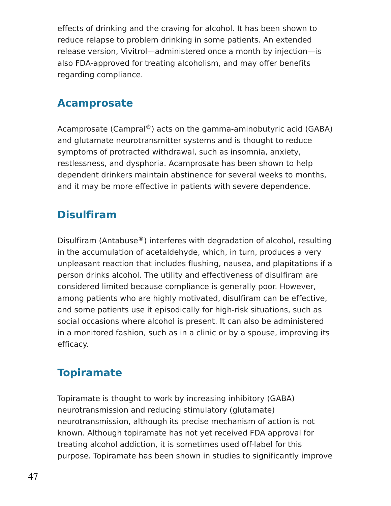effects of drinking and the craving for alcohol. It has been shown to reduce relapse to problem drinking in some patients. An extended release version, Vivitrol—administered once a month by injection—is also FDA-approved for treating alcoholism, and may offer benefits regarding compliance.

### **Acamprosate**

Acamprosate (Campral®) acts on the gamma-aminobutyric acid (GABA) and glutamate neurotransmitter systems and is thought to reduce symptoms of protracted withdrawal, such as insomnia, anxiety, restlessness, and dysphoria. Acamprosate has been shown to help dependent drinkers maintain abstinence for several weeks to months, and it may be more effective in patients with severe dependence.

## **Disulfiram**

Disulfiram (Antabuse $^{\circledR}$ ) interferes with degradation of alcohol, resulting in the accumulation of acetaldehyde, which, in turn, produces a very unpleasant reaction that includes flushing, nausea, and plapitations if a person drinks alcohol. The utility and effectiveness of disulfiram are considered limited because compliance is generally poor. However, among patients who are highly motivated, disulfiram can be effective, and some patients use it episodically for high-risk situations, such as social occasions where alcohol is present. It can also be administered in a monitored fashion, such as in a clinic or by a spouse, improving its efficacy.

## **Topiramate**

Topiramate is thought to work by increasing inhibitory (GABA) neurotransmission and reducing stimulatory (glutamate) neurotransmission, although its precise mechanism of action is not known. Although topiramate has not yet received FDA approval for treating alcohol addiction, it is sometimes used off-label for this purpose. Topiramate has been shown in studies to significantly improve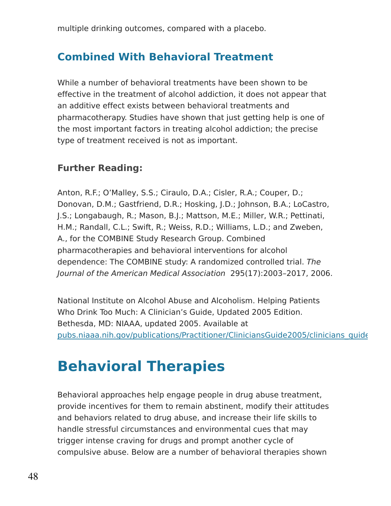multiple drinking outcomes, compared with a placebo.

### **Combined With Behavioral Treatment**

While a number of behavioral treatments have been shown to be effective in the treatment of alcohol addiction, it does not appear that an additive effect exists between behavioral treatments and pharmacotherapy. Studies have shown that just getting help is one of the most important factors in treating alcohol addiction; the precise type of treatment received is not as important.

### **Further Reading:**

Anton, R.F.; O'Malley, S.S.; Ciraulo, D.A.; Cisler, R.A.; Couper, D.; Donovan, D.M.; Gastfriend, D.R.; Hosking, J.D.; Johnson, B.A.; LoCastro, J.S.; Longabaugh, R.; Mason, B.J.; Mattson, M.E.; Miller, W.R.; Pettinati, H.M.; Randall, C.L.; Swift, R.; Weiss, R.D.; Williams, L.D.; and Zweben, A., for the COMBINE Study Research Group. Combined pharmacotherapies and behavioral interventions for alcohol dependence: The COMBINE study: A randomized controlled trial. The Journal of the American Medical Association 295(17):2003–2017, 2006.

National Institute on Alcohol Abuse and Alcoholism. Helping Patients Who Drink Too Much: A Clinician's Guide, Updated 2005 Edition. Bethesda, MD: NIAAA, updated 2005. Available at pubs.niaaa.nih.gov/publications/Practitioner/CliniciansGuide2005/clinicians\_guide

# **Behavioral Therapies**

Behavioral approaches help engage people in drug abuse treatment, provide incentives for them to remain abstinent, modify their attitudes and behaviors related to drug abuse, and increase their life skills to handle stressful circumstances and environmental cues that may trigger intense craving for drugs and prompt another cycle of compulsive abuse. Below are a number of behavioral therapies shown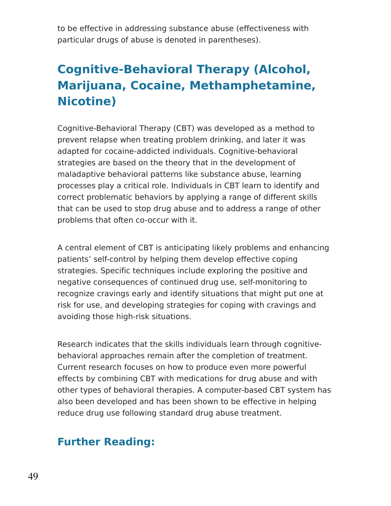to be effective in addressing substance abuse (effectiveness with particular drugs of abuse is denoted in parentheses).

## **Cognitive-Behavioral Therapy (Alcohol, Marijuana, Cocaine, Methamphetamine, Nicotine)**

Cognitive-Behavioral Therapy (CBT) was developed as a method to prevent relapse when treating problem drinking, and later it was adapted for cocaine-addicted individuals. Cognitive-behavioral strategies are based on the theory that in the development of maladaptive behavioral patterns like substance abuse, learning processes play a critical role. Individuals in CBT learn to identify and correct problematic behaviors by applying a range of different skills that can be used to stop drug abuse and to address a range of other problems that often co-occur with it.

A central element of CBT is anticipating likely problems and enhancing patients' self-control by helping them develop effective coping strategies. Specific techniques include exploring the positive and negative consequences of continued drug use, self-monitoring to recognize cravings early and identify situations that might put one at risk for use, and developing strategies for coping with cravings and avoiding those high-risk situations.

Research indicates that the skills individuals learn through cognitivebehavioral approaches remain after the completion of treatment. Current research focuses on how to produce even more powerful effects by combining CBT with medications for drug abuse and with other types of behavioral therapies. A computer-based CBT system has also been developed and has been shown to be effective in helping reduce drug use following standard drug abuse treatment.

### **Further Reading:**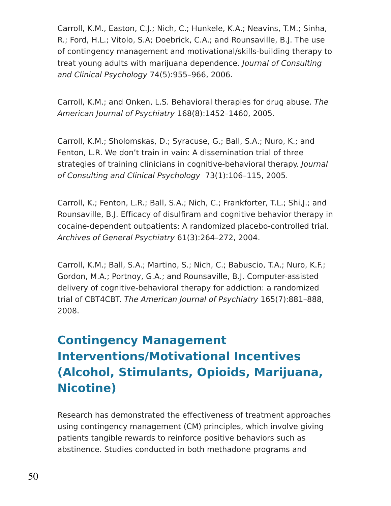Carroll, K.M., Easton, C.J.; Nich, C.; Hunkele, K.A.; Neavins, T.M.; Sinha, R.; Ford, H.L.; Vitolo, S.A; Doebrick, C.A.; and Rounsaville, B.J. The use of contingency management and motivational/skills-building therapy to treat young adults with marijuana dependence. Journal of Consulting and Clinical Psychology 74(5):955–966, 2006.

Carroll, K.M.; and Onken, L.S. Behavioral therapies for drug abuse. The American Journal of Psychiatry 168(8):1452–1460, 2005.

Carroll, K.M.; Sholomskas, D.; Syracuse, G.; Ball, S.A.; Nuro, K.; and Fenton, L.R. We don't train in vain: A dissemination trial of three strategies of training clinicians in cognitive-behavioral therapy. Journal of Consulting and Clinical Psychology 73(1):106–115, 2005.

Carroll, K.; Fenton, L.R.; Ball, S.A.; Nich, C.; Frankforter, T.L.; Shi,J.; and Rounsaville, B.J. Efficacy of disulfiram and cognitive behavior therapy in cocaine-dependent outpatients: A randomized placebo-controlled trial. Archives of General Psychiatry 61(3):264–272, 2004.

Carroll, K.M.; Ball, S.A.; Martino, S.; Nich, C.; Babuscio, T.A.; Nuro, K.F.; Gordon, M.A.; Portnoy, G.A.; and Rounsaville, B.J. Computer-assisted delivery of cognitive-behavioral therapy for addiction: a randomized trial of CBT4CBT. The American Journal of Psychiatry 165(7):881–888, 2008.

## **Contingency Management Interventions/Motivational Incentives (Alcohol, Stimulants, Opioids, Marijuana, Nicotine)**

Research has demonstrated the effectiveness of treatment approaches using contingency management (CM) principles, which involve giving patients tangible rewards to reinforce positive behaviors such as abstinence. Studies conducted in both methadone programs and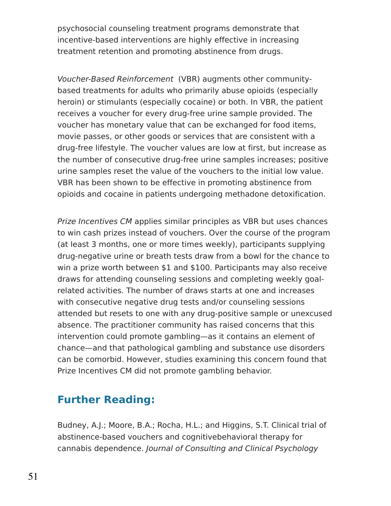psychosocial counseling treatment programs demonstrate that incentive-based interventions are highly effective in increasing treatment retention and promoting abstinence from drugs.

Voucher-Based Reinforcement (VBR) augments other communitybased treatments for adults who primarily abuse opioids (especially heroin) or stimulants (especially cocaine) or both. In VBR, the patient receives a voucher for every drug-free urine sample provided. The voucher has monetary value that can be exchanged for food items, movie passes, or other goods or services that are consistent with a drug-free lifestyle. The voucher values are low at first, but increase as the number of consecutive drug-free urine samples increases; positive urine samples reset the value of the vouchers to the initial low value. VBR has been shown to be effective in promoting abstinence from opioids and cocaine in patients undergoing methadone detoxification.

Prize Incentives CM applies similar principles as VBR but uses chances to win cash prizes instead of vouchers. Over the course of the program (at least 3 months, one or more times weekly), participants supplying drug-negative urine or breath tests draw from a bowl for the chance to win a prize worth between \$1 and \$100. Participants may also receive draws for attending counseling sessions and completing weekly goalrelated activities. The number of draws starts at one and increases with consecutive negative drug tests and/or counseling sessions attended but resets to one with any drug-positive sample or unexcused absence. The practitioner community has raised concerns that this intervention could promote gambling—as it contains an element of chance—and that pathological gambling and substance use disorders can be comorbid. However, studies examining this concern found that Prize Incentives CM did not promote gambling behavior.

## **Further Reading:**

Budney, A.J.; Moore, B.A.; Rocha, H.L.; and Higgins, S.T. Clinical trial of abstinence-based vouchers and cognitivebehavioral therapy for cannabis dependence. Journal of Consulting and Clinical Psychology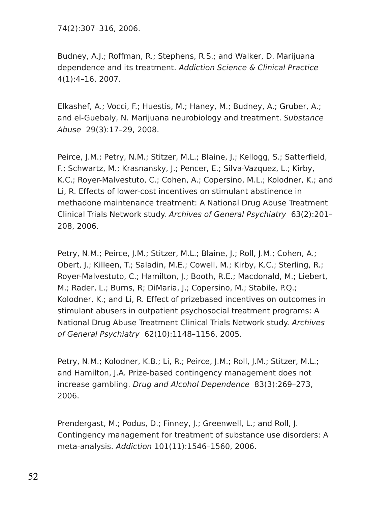74(2):307–316, 2006.

Budney, A.J.; Roffman, R.; Stephens, R.S.; and Walker, D. Marijuana dependence and its treatment. Addiction Science & Clinical Practice 4(1):4–16, 2007.

Elkashef, A.; Vocci, F.; Huestis, M.; Haney, M.; Budney, A.; Gruber, A.; and el-Guebaly, N. Marijuana neurobiology and treatment. Substance Abuse 29(3):17–29, 2008.

Peirce, J.M.; Petry, N.M.; Stitzer, M.L.; Blaine, J.; Kellogg, S.; Satterfield, F.; Schwartz, M.; Krasnansky, J.; Pencer, E.; Silva-Vazquez, L.; Kirby, K.C.; Royer-Malvestuto, C.; Cohen, A.; Copersino, M.L.; Kolodner, K.; and Li, R. Effects of lower-cost incentives on stimulant abstinence in methadone maintenance treatment: A National Drug Abuse Treatment Clinical Trials Network study. Archives of General Psychiatry 63(2):201– 208, 2006.

Petry, N.M.; Peirce, J.M.; Stitzer, M.L.; Blaine, J.; Roll, J.M.; Cohen, A.; Obert, J.; Killeen, T.; Saladin, M.E.; Cowell, M.; Kirby, K.C.; Sterling, R.; Royer-Malvestuto, C.; Hamilton, J.; Booth, R.E.; Macdonald, M.; Liebert, M.; Rader, L.; Burns, R; DiMaria, J.; Copersino, M.; Stabile, P.Q.; Kolodner, K.; and Li, R. Effect of prizebased incentives on outcomes in stimulant abusers in outpatient psychosocial treatment programs: A National Drug Abuse Treatment Clinical Trials Network study. Archives of General Psychiatry 62(10):1148–1156, 2005.

Petry, N.M.; Kolodner, K.B.; Li, R.; Peirce, J.M.; Roll, J.M.; Stitzer, M.L.; and Hamilton, J.A. Prize-based contingency management does not increase gambling. Drug and Alcohol Dependence 83(3):269–273, 2006.

Prendergast, M.; Podus, D.; Finney, J.; Greenwell, L.; and Roll, J. Contingency management for treatment of substance use disorders: A meta-analysis. Addiction 101(11):1546–1560, 2006.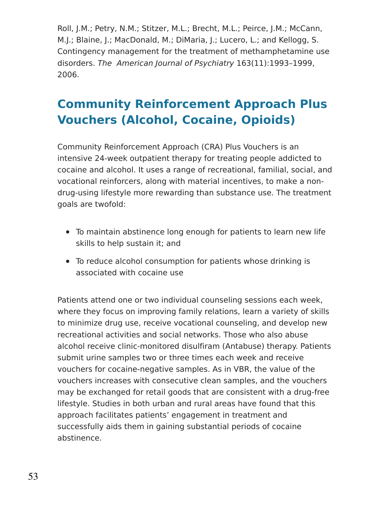Roll, J.M.; Petry, N.M.; Stitzer, M.L.; Brecht, M.L.; Peirce, J.M.; McCann, M.J.; Blaine, J.; MacDonald, M.; DiMaria, J.; Lucero, L.; and Kellogg, S. Contingency management for the treatment of methamphetamine use disorders. The American Journal of Psychiatry 163(11):1993–1999, 2006.

## **Community Reinforcement Approach Plus Vouchers (Alcohol, Cocaine, Opioids)**

Community Reinforcement Approach (CRA) Plus Vouchers is an intensive 24-week outpatient therapy for treating people addicted to cocaine and alcohol. It uses a range of recreational, familial, social, and vocational reinforcers, along with material incentives, to make a nondrug-using lifestyle more rewarding than substance use. The treatment goals are twofold:

- To maintain abstinence long enough for patients to learn new life skills to help sustain it; and
- To reduce alcohol consumption for patients whose drinking is associated with cocaine use

Patients attend one or two individual counseling sessions each week, where they focus on improving family relations, learn a variety of skills to minimize drug use, receive vocational counseling, and develop new recreational activities and social networks. Those who also abuse alcohol receive clinic-monitored disulfiram (Antabuse) therapy. Patients submit urine samples two or three times each week and receive vouchers for cocaine-negative samples. As in VBR, the value of the vouchers increases with consecutive clean samples, and the vouchers may be exchanged for retail goods that are consistent with a drug-free lifestyle. Studies in both urban and rural areas have found that this approach facilitates patients' engagement in treatment and successfully aids them in gaining substantial periods of cocaine abstinence.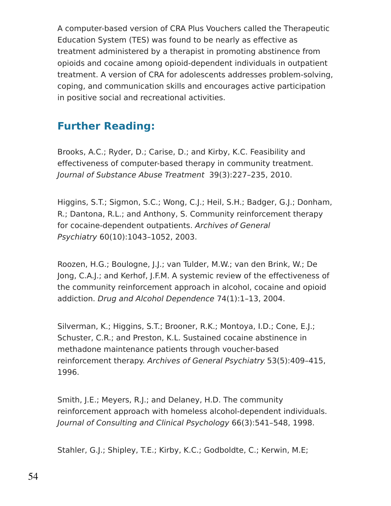A computer-based version of CRA Plus Vouchers called the Therapeutic Education System (TES) was found to be nearly as effective as treatment administered by a therapist in promoting abstinence from opioids and cocaine among opioid-dependent individuals in outpatient treatment. A version of CRA for adolescents addresses problem-solving, coping, and communication skills and encourages active participation in positive social and recreational activities.

## **Further Reading:**

Brooks, A.C.; Ryder, D.; Carise, D.; and Kirby, K.C. Feasibility and effectiveness of computer-based therapy in community treatment. Journal of Substance Abuse Treatment 39(3):227–235, 2010.

Higgins, S.T.; Sigmon, S.C.; Wong, C.J.; Heil, S.H.; Badger, G.J.; Donham, R.; Dantona, R.L.; and Anthony, S. Community reinforcement therapy for cocaine-dependent outpatients. Archives of General Psychiatry 60(10):1043–1052, 2003.

Roozen, H.G.; Boulogne, J.J.; van Tulder, M.W.; van den Brink, W.; De Jong, C.A.J.; and Kerhof, J.F.M. A systemic review of the effectiveness of the community reinforcement approach in alcohol, cocaine and opioid addiction. Drug and Alcohol Dependence 74(1):1–13, 2004.

Silverman, K.; Higgins, S.T.; Brooner, R.K.; Montoya, I.D.; Cone, E.J.; Schuster, C.R.; and Preston, K.L. Sustained cocaine abstinence in methadone maintenance patients through voucher-based reinforcement therapy. Archives of General Psychiatry 53(5):409–415, 1996.

Smith, J.E.; Meyers, R.J.; and Delaney, H.D. The community reinforcement approach with homeless alcohol-dependent individuals. Journal of Consulting and Clinical Psychology 66(3):541–548, 1998.

Stahler, G.J.; Shipley, T.E.; Kirby, K.C.; Godboldte, C.; Kerwin, M.E;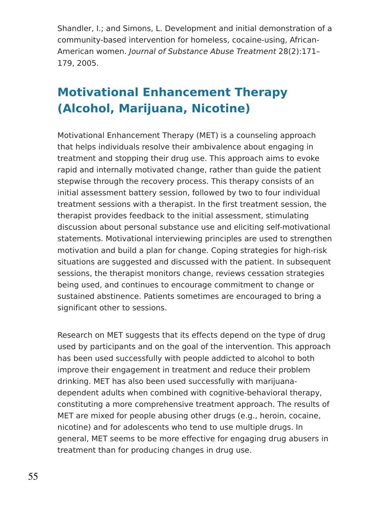Shandler, I.; and Simons, L. Development and initial demonstration of a community-based intervention for homeless, cocaine-using, African-American women. Journal of Substance Abuse Treatment 28(2):171– 179, 2005.

## **Motivational Enhancement Therapy (Alcohol, Marijuana, Nicotine)**

Motivational Enhancement Therapy (MET) is a counseling approach that helps individuals resolve their ambivalence about engaging in treatment and stopping their drug use. This approach aims to evoke rapid and internally motivated change, rather than guide the patient stepwise through the recovery process. This therapy consists of an initial assessment battery session, followed by two to four individual treatment sessions with a therapist. In the first treatment session, the therapist provides feedback to the initial assessment, stimulating discussion about personal substance use and eliciting self-motivational statements. Motivational interviewing principles are used to strengthen motivation and build a plan for change. Coping strategies for high-risk situations are suggested and discussed with the patient. In subsequent sessions, the therapist monitors change, reviews cessation strategies being used, and continues to encourage commitment to change or sustained abstinence. Patients sometimes are encouraged to bring a significant other to sessions.

Research on MET suggests that its effects depend on the type of drug used by participants and on the goal of the intervention. This approach has been used successfully with people addicted to alcohol to both improve their engagement in treatment and reduce their problem drinking. MET has also been used successfully with marijuanadependent adults when combined with cognitive-behavioral therapy, constituting a more comprehensive treatment approach. The results of MET are mixed for people abusing other drugs (e.g., heroin, cocaine, nicotine) and for adolescents who tend to use multiple drugs. In general, MET seems to be more effective for engaging drug abusers in treatment than for producing changes in drug use.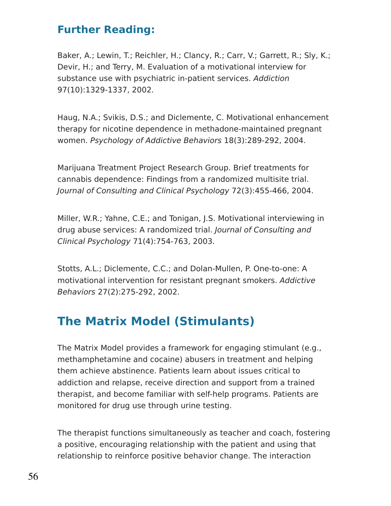### **Further Reading:**

Baker, A.; Lewin, T.; Reichler, H.; Clancy, R.; Carr, V.; Garrett, R.; Sly, K.; Devir, H.; and Terry, M. Evaluation of a motivational interview for substance use with psychiatric in-patient services. Addiction 97(10):1329-1337, 2002.

Haug, N.A.; Svikis, D.S.; and Diclemente, C. Motivational enhancement therapy for nicotine dependence in methadone-maintained pregnant women. Psychology of Addictive Behaviors 18(3):289-292, 2004.

Marijuana Treatment Project Research Group. Brief treatments for cannabis dependence: Findings from a randomized multisite trial. Journal of Consulting and Clinical Psychology 72(3):455-466, 2004.

Miller, W.R.; Yahne, C.E.; and Tonigan, J.S. Motivational interviewing in drug abuse services: A randomized trial. Journal of Consulting and Clinical Psychology 71(4):754-763, 2003.

Stotts, A.L.; Diclemente, C.C.; and Dolan-Mullen, P. One-to-one: A motivational intervention for resistant pregnant smokers. Addictive Behaviors 27(2):275-292, 2002.

## **The Matrix Model (Stimulants)**

The Matrix Model provides a framework for engaging stimulant (e.g., methamphetamine and cocaine) abusers in treatment and helping them achieve abstinence. Patients learn about issues critical to addiction and relapse, receive direction and support from a trained therapist, and become familiar with self-help programs. Patients are monitored for drug use through urine testing.

The therapist functions simultaneously as teacher and coach, fostering a positive, encouraging relationship with the patient and using that relationship to reinforce positive behavior change. The interaction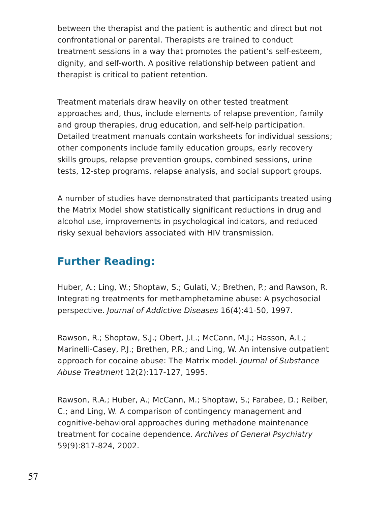between the therapist and the patient is authentic and direct but not confrontational or parental. Therapists are trained to conduct treatment sessions in a way that promotes the patient's self-esteem, dignity, and self-worth. A positive relationship between patient and therapist is critical to patient retention.

Treatment materials draw heavily on other tested treatment approaches and, thus, include elements of relapse prevention, family and group therapies, drug education, and self-help participation. Detailed treatment manuals contain worksheets for individual sessions; other components include family education groups, early recovery skills groups, relapse prevention groups, combined sessions, urine tests, 12-step programs, relapse analysis, and social support groups.

A number of studies have demonstrated that participants treated using the Matrix Model show statistically significant reductions in drug and alcohol use, improvements in psychological indicators, and reduced risky sexual behaviors associated with HIV transmission.

## **Further Reading:**

Huber, A.; Ling, W.; Shoptaw, S.; Gulati, V.; Brethen, P.; and Rawson, R. Integrating treatments for methamphetamine abuse: A psychosocial perspective. Journal of Addictive Diseases 16(4):41-50, 1997.

Rawson, R.; Shoptaw, S.J.; Obert, J.L.; McCann, M.J.; Hasson, A.L.; Marinelli-Casey, P.J.; Brethen, P.R.; and Ling, W. An intensive outpatient approach for cocaine abuse: The Matrix model. Journal of Substance Abuse Treatment 12(2):117-127, 1995.

Rawson, R.A.; Huber, A.; McCann, M.; Shoptaw, S.; Farabee, D.; Reiber, C.; and Ling, W. A comparison of contingency management and cognitive-behavioral approaches during methadone maintenance treatment for cocaine dependence. Archives of General Psychiatry 59(9):817-824, 2002.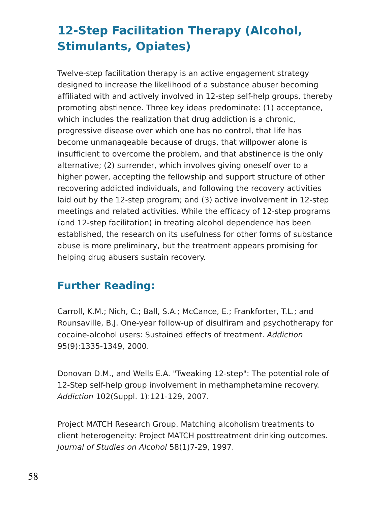## **12-Step Facilitation Therapy (Alcohol, Stimulants, Opiates)**

Twelve-step facilitation therapy is an active engagement strategy designed to increase the likelihood of a substance abuser becoming affiliated with and actively involved in 12-step self-help groups, thereby promoting abstinence. Three key ideas predominate: (1) acceptance, which includes the realization that drug addiction is a chronic, progressive disease over which one has no control, that life has become unmanageable because of drugs, that willpower alone is insufficient to overcome the problem, and that abstinence is the only alternative; (2) surrender, which involves giving oneself over to a higher power, accepting the fellowship and support structure of other recovering addicted individuals, and following the recovery activities laid out by the 12-step program; and (3) active involvement in 12-step meetings and related activities. While the efficacy of 12-step programs (and 12-step facilitation) in treating alcohol dependence has been established, the research on its usefulness for other forms of substance abuse is more preliminary, but the treatment appears promising for helping drug abusers sustain recovery.

## **Further Reading:**

Carroll, K.M.; Nich, C.; Ball, S.A.; McCance, E.; Frankforter, T.L.; and Rounsaville, B.J. One-year follow-up of disulfiram and psychotherapy for cocaine-alcohol users: Sustained effects of treatment. Addiction 95(9):1335-1349, 2000.

Donovan D.M., and Wells E.A. "Tweaking 12-step": The potential role of 12-Step self-help group involvement in methamphetamine recovery. Addiction 102(Suppl. 1):121-129, 2007.

Project MATCH Research Group. Matching alcoholism treatments to client heterogeneity: Project MATCH posttreatment drinking outcomes. Journal of Studies on Alcohol 58(1)7-29, 1997.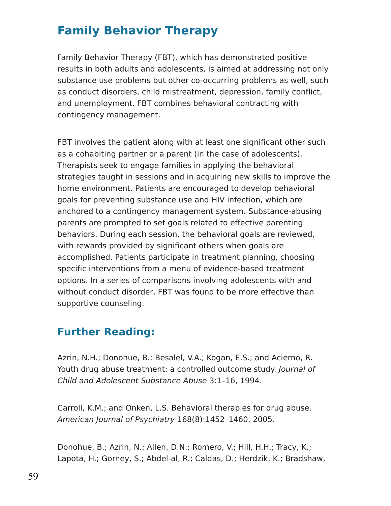## **Family Behavior Therapy**

Family Behavior Therapy (FBT), which has demonstrated positive results in both adults and adolescents, is aimed at addressing not only substance use problems but other co-occurring problems as well, such as conduct disorders, child mistreatment, depression, family conflict, and unemployment. FBT combines behavioral contracting with contingency management.

FBT involves the patient along with at least one significant other such as a cohabiting partner or a parent (in the case of adolescents). Therapists seek to engage families in applying the behavioral strategies taught in sessions and in acquiring new skills to improve the home environment. Patients are encouraged to develop behavioral goals for preventing substance use and HIV infection, which are anchored to a contingency management system. Substance-abusing parents are prompted to set goals related to effective parenting behaviors. During each session, the behavioral goals are reviewed, with rewards provided by significant others when goals are accomplished. Patients participate in treatment planning, choosing specific interventions from a menu of evidence-based treatment options. In a series of comparisons involving adolescents with and without conduct disorder, FBT was found to be more effective than supportive counseling.

### **Further Reading:**

Azrin, N.H.; Donohue, B.; Besalel, V.A.; Kogan, E.S.; and Acierno, R. Youth drug abuse treatment: a controlled outcome study. Journal of Child and Adolescent Substance Abuse 3:1–16, 1994.

Carroll, K.M.; and Onken, L.S. Behavioral therapies for drug abuse. American Journal of Psychiatry 168(8):1452–1460, 2005.

Donohue, B.; Azrin, N.; Allen, D.N.; Romero, V.; Hill, H.H.; Tracy, K.; Lapota, H.; Gorney, S.; Abdel-al, R.; Caldas, D.; Herdzik, K.; Bradshaw,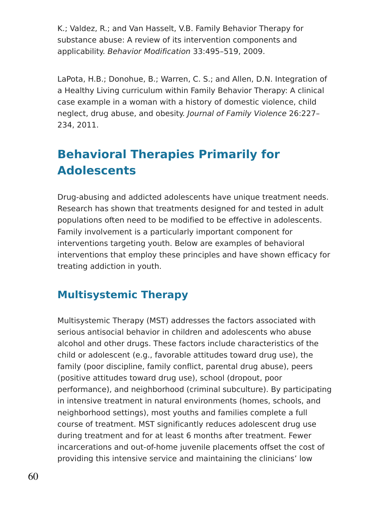K.; Valdez, R.; and Van Hasselt, V.B. Family Behavior Therapy for substance abuse: A review of its intervention components and applicability. Behavior Modification 33:495–519, 2009.

LaPota, H.B.; Donohue, B.; Warren, C. S.; and Allen, D.N. Integration of a Healthy Living curriculum within Family Behavior Therapy: A clinical case example in a woman with a history of domestic violence, child neglect, drug abuse, and obesity. Journal of Family Violence 26:227– 234, 2011.

## **Behavioral Therapies Primarily for Adolescents**

Drug-abusing and addicted adolescents have unique treatment needs. Research has shown that treatments designed for and tested in adult populations often need to be modified to be effective in adolescents. Family involvement is a particularly important component for interventions targeting youth. Below are examples of behavioral interventions that employ these principles and have shown efficacy for treating addiction in youth.

## **Multisystemic Therapy**

Multisystemic Therapy (MST) addresses the factors associated with serious antisocial behavior in children and adolescents who abuse alcohol and other drugs. These factors include characteristics of the child or adolescent (e.g., favorable attitudes toward drug use), the family (poor discipline, family conflict, parental drug abuse), peers (positive attitudes toward drug use), school (dropout, poor performance), and neighborhood (criminal subculture). By participating in intensive treatment in natural environments (homes, schools, and neighborhood settings), most youths and families complete a full course of treatment. MST significantly reduces adolescent drug use during treatment and for at least 6 months after treatment. Fewer incarcerations and out-of-home juvenile placements offset the cost of providing this intensive service and maintaining the clinicians' low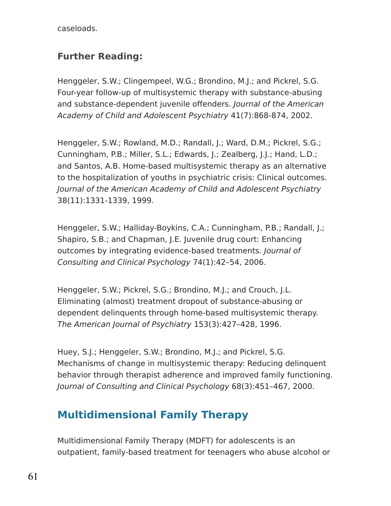caseloads.

### **Further Reading:**

Henggeler, S.W.; Clingempeel, W.G.; Brondino, M.J.; and Pickrel, S.G. Four-year follow-up of multisystemic therapy with substance-abusing and substance-dependent juvenile offenders. Journal of the American Academy of Child and Adolescent Psychiatry 41(7):868-874, 2002.

Henggeler, S.W.; Rowland, M.D.; Randall, J.; Ward, D.M.; Pickrel, S.G.; Cunningham, P.B.; Miller, S.L.; Edwards, J.; Zealberg, J.J.; Hand, L.D.; and Santos, A.B. Home-based multisystemic therapy as an alternative to the hospitalization of youths in psychiatric crisis: Clinical outcomes. Journal of the American Academy of Child and Adolescent Psychiatry 38(11):1331-1339, 1999.

Henggeler, S.W.; Halliday-Boykins, C.A.; Cunningham, P.B.; Randall, J.; Shapiro, S.B.; and Chapman, J.E. Juvenile drug court: Enhancing outcomes by integrating evidence-based treatments. Journal of Consulting and Clinical Psychology 74(1):42–54, 2006.

Henggeler, S.W.; Pickrel, S.G.; Brondino, M.J.; and Crouch, J.L. Eliminating (almost) treatment dropout of substance-abusing or dependent delinquents through home-based multisystemic therapy. The American Journal of Psychiatry 153(3):427–428, 1996.

Huey, S.J.; Henggeler, S.W.; Brondino, M.J.; and Pickrel, S.G. Mechanisms of change in multisystemic therapy: Reducing delinquent behavior through therapist adherence and improved family functioning. Journal of Consulting and Clinical Psychology 68(3):451–467, 2000.

## **Multidimensional Family Therapy**

Multidimensional Family Therapy (MDFT) for adolescents is an outpatient, family-based treatment for teenagers who abuse alcohol or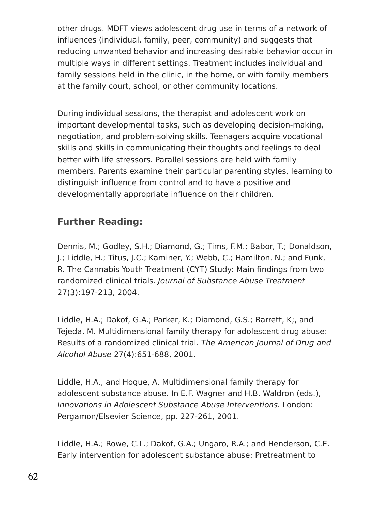other drugs. MDFT views adolescent drug use in terms of a network of influences (individual, family, peer, community) and suggests that reducing unwanted behavior and increasing desirable behavior occur in multiple ways in different settings. Treatment includes individual and family sessions held in the clinic, in the home, or with family members at the family court, school, or other community locations.

During individual sessions, the therapist and adolescent work on important developmental tasks, such as developing decision-making, negotiation, and problem-solving skills. Teenagers acquire vocational skills and skills in communicating their thoughts and feelings to deal better with life stressors. Parallel sessions are held with family members. Parents examine their particular parenting styles, learning to distinguish influence from control and to have a positive and developmentally appropriate influence on their children.

### **Further Reading:**

Dennis, M.; Godley, S.H.; Diamond, G.; Tims, F.M.; Babor, T.; Donaldson, J.; Liddle, H.; Titus, J.C.; Kaminer, Y.; Webb, C.; Hamilton, N.; and Funk, R. The Cannabis Youth Treatment (CYT) Study: Main findings from two randomized clinical trials. Journal of Substance Abuse Treatment 27(3):197-213, 2004.

Liddle, H.A.; Dakof, G.A.; Parker, K.; Diamond, G.S.; Barrett, K;, and Tejeda, M. Multidimensional family therapy for adolescent drug abuse: Results of a randomized clinical trial. The American Journal of Drug and Alcohol Abuse 27(4):651-688, 2001.

Liddle, H.A., and Hogue, A. Multidimensional family therapy for adolescent substance abuse. In E.F. Wagner and H.B. Waldron (eds.), Innovations in Adolescent Substance Abuse Interventions. London: Pergamon/Elsevier Science, pp. 227-261, 2001.

Liddle, H.A.; Rowe, C.L.; Dakof, G.A.; Ungaro, R.A.; and Henderson, C.E. Early intervention for adolescent substance abuse: Pretreatment to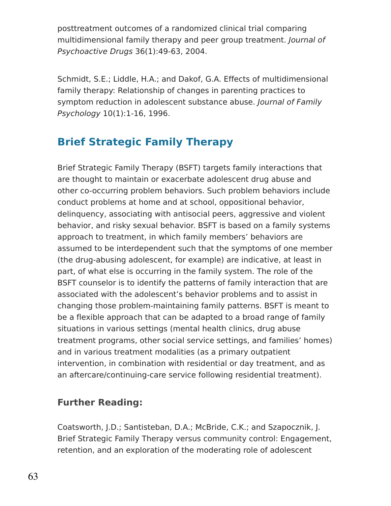posttreatment outcomes of a randomized clinical trial comparing multidimensional family therapy and peer group treatment. Journal of Psychoactive Drugs 36(1):49-63, 2004.

Schmidt, S.E.; Liddle, H.A.; and Dakof, G.A. Effects of multidimensional family therapy: Relationship of changes in parenting practices to symptom reduction in adolescent substance abuse. Journal of Family Psychology 10(1):1-16, 1996.

## **Brief Strategic Family Therapy**

Brief Strategic Family Therapy (BSFT) targets family interactions that are thought to maintain or exacerbate adolescent drug abuse and other co-occurring problem behaviors. Such problem behaviors include conduct problems at home and at school, oppositional behavior, delinquency, associating with antisocial peers, aggressive and violent behavior, and risky sexual behavior. BSFT is based on a family systems approach to treatment, in which family members' behaviors are assumed to be interdependent such that the symptoms of one member (the drug-abusing adolescent, for example) are indicative, at least in part, of what else is occurring in the family system. The role of the BSFT counselor is to identify the patterns of family interaction that are associated with the adolescent's behavior problems and to assist in changing those problem-maintaining family patterns. BSFT is meant to be a flexible approach that can be adapted to a broad range of family situations in various settings (mental health clinics, drug abuse treatment programs, other social service settings, and families' homes) and in various treatment modalities (as a primary outpatient intervention, in combination with residential or day treatment, and as an aftercare/continuing-care service following residential treatment).

### **Further Reading:**

Coatsworth, J.D.; Santisteban, D.A.; McBride, C.K.; and Szapocznik, J. Brief Strategic Family Therapy versus community control: Engagement, retention, and an exploration of the moderating role of adolescent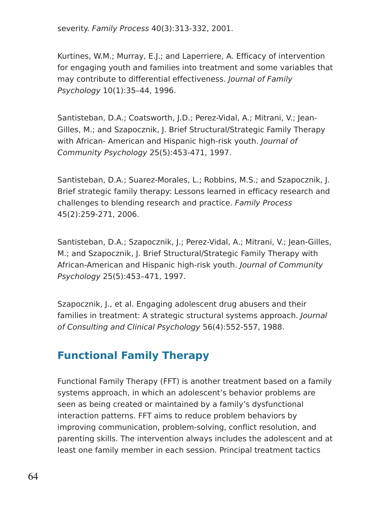severity. Family Process 40(3):313-332, 2001.

Kurtines, W.M.; Murray, E.J.; and Laperriere, A. Efficacy of intervention for engaging youth and families into treatment and some variables that may contribute to differential effectiveness. Journal of Family Psychology 10(1):35–44, 1996.

Santisteban, D.A.; Coatsworth, J.D.; Perez-Vidal, A.; Mitrani, V.; Jean-Gilles, M.; and Szapocznik, J. Brief Structural/Strategic Family Therapy with African- American and Hispanic high-risk youth. Journal of Community Psychology 25(5):453-471, 1997.

Santisteban, D.A.; Suarez-Morales, L.; Robbins, M.S.; and Szapocznik, J. Brief strategic family therapy: Lessons learned in efficacy research and challenges to blending research and practice. Family Process 45(2):259-271, 2006.

Santisteban, D.A.; Szapocznik, J.; Perez-Vidal, A.; Mitrani, V.; Jean-Gilles, M.; and Szapocznik, J. Brief Structural/Strategic Family Therapy with African-American and Hispanic high-risk youth. Journal of Community Psychology 25(5):453–471, 1997.

Szapocznik, J., et al. Engaging adolescent drug abusers and their families in treatment: A strategic structural systems approach. Journal of Consulting and Clinical Psychology 56(4):552-557, 1988.

## **Functional Family Therapy**

Functional Family Therapy (FFT) is another treatment based on a family systems approach, in which an adolescent's behavior problems are seen as being created or maintained by a family's dysfunctional interaction patterns. FFT aims to reduce problem behaviors by improving communication, problem-solving, conflict resolution, and parenting skills. The intervention always includes the adolescent and at least one family member in each session. Principal treatment tactics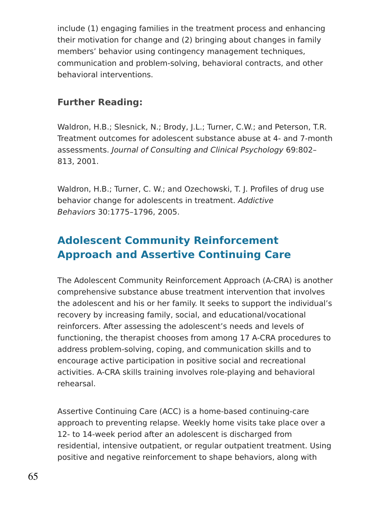include (1) engaging families in the treatment process and enhancing their motivation for change and (2) bringing about changes in family members' behavior using contingency management techniques, communication and problem-solving, behavioral contracts, and other behavioral interventions.

### **Further Reading:**

Waldron, H.B.; Slesnick, N.; Brody, J.L.; Turner, C.W.; and Peterson, T.R. Treatment outcomes for adolescent substance abuse at 4- and 7-month assessments. Journal of Consulting and Clinical Psychology 69:802– 813, 2001.

Waldron, H.B.; Turner, C. W.; and Ozechowski, T. J. Profiles of drug use behavior change for adolescents in treatment. Addictive Behaviors 30:1775–1796, 2005.

## **Adolescent Community Reinforcement Approach and Assertive Continuing Care**

The Adolescent Community Reinforcement Approach (A-CRA) is another comprehensive substance abuse treatment intervention that involves the adolescent and his or her family. It seeks to support the individual's recovery by increasing family, social, and educational/vocational reinforcers. After assessing the adolescent's needs and levels of functioning, the therapist chooses from among 17 A-CRA procedures to address problem-solving, coping, and communication skills and to encourage active participation in positive social and recreational activities. A-CRA skills training involves role-playing and behavioral rehearsal.

Assertive Continuing Care (ACC) is a home-based continuing-care approach to preventing relapse. Weekly home visits take place over a 12- to 14-week period after an adolescent is discharged from residential, intensive outpatient, or regular outpatient treatment. Using positive and negative reinforcement to shape behaviors, along with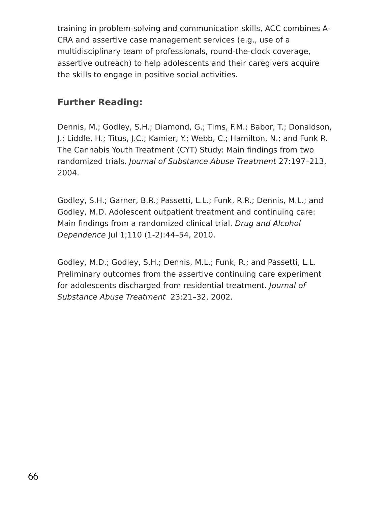training in problem-solving and communication skills, ACC combines A-CRA and assertive case management services (e.g., use of a multidisciplinary team of professionals, round-the-clock coverage, assertive outreach) to help adolescents and their caregivers acquire the skills to engage in positive social activities.

### **Further Reading:**

Dennis, M.; Godley, S.H.; Diamond, G.; Tims, F.M.; Babor, T.; Donaldson, J.; Liddle, H.; Titus, J.C.; Kamier, Y.; Webb, C.; Hamilton, N.; and Funk R. The Cannabis Youth Treatment (CYT) Study: Main findings from two randomized trials. Journal of Substance Abuse Treatment 27:197–213, 2004.

Godley, S.H.; Garner, B.R.; Passetti, L.L.; Funk, R.R.; Dennis, M.L.; and Godley, M.D. Adolescent outpatient treatment and continuing care: Main findings from a randomized clinical trial. Drug and Alcohol Dependence Jul 1;110 (1-2):44–54, 2010.

Godley, M.D.; Godley, S.H.; Dennis, M.L.; Funk, R.; and Passetti, L.L. Preliminary outcomes from the assertive continuing care experiment for adolescents discharged from residential treatment. Journal of Substance Abuse Treatment 23:21–32, 2002.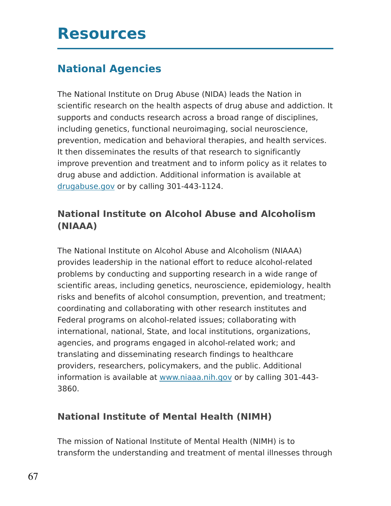# **Resources**

## **National Agencies**

The National Institute on Drug Abuse (NIDA) leads the Nation in scientific research on the health aspects of drug abuse and addiction. It supports and conducts research across a broad range of disciplines, including genetics, functional neuroimaging, social neuroscience, prevention, medication and behavioral therapies, and health services. It then disseminates the results of that research to significantly improve prevention and treatment and to inform policy as it relates to drug abuse and addiction. Additional information is available at [drugabuse.gov](https://www.drugabuse.gov/in-english) or by calling 301-443-1124.

### **National Institute on Alcohol Abuse and Alcoholism (NIAAA)**

The National Institute on Alcohol Abuse and Alcoholism (NIAAA) provides leadership in the national effort to reduce alcohol-related problems by conducting and supporting research in a wide range of scientific areas, including genetics, neuroscience, epidemiology, health risks and benefits of alcohol consumption, prevention, and treatment; coordinating and collaborating with other research institutes and Federal programs on alcohol-related issues; collaborating with international, national, State, and local institutions, organizations, agencies, and programs engaged in alcohol-related work; and translating and disseminating research findings to healthcare providers, researchers, policymakers, and the public. Additional information is available at [www.niaaa.nih.gov](http://www.niaaa.nih.gov/) or by calling 301-443- 3860.

### **National Institute of Mental Health (NIMH)**

The mission of National Institute of Mental Health (NIMH) is to transform the understanding and treatment of mental illnesses through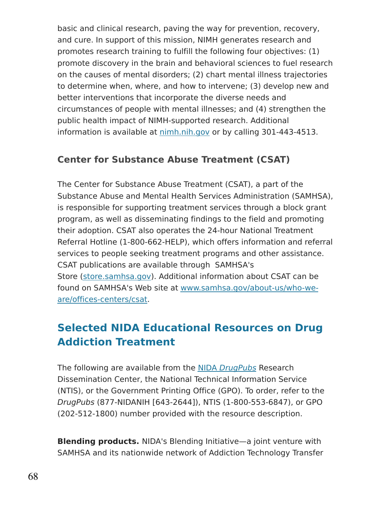basic and clinical research, paving the way for prevention, recovery, and cure. In support of this mission, NIMH generates research and promotes research training to fulfill the following four objectives: (1) promote discovery in the brain and behavioral sciences to fuel research on the causes of mental disorders; (2) chart mental illness trajectories to determine when, where, and how to intervene; (3) develop new and better interventions that incorporate the diverse needs and circumstances of people with mental illnesses; and (4) strengthen the public health impact of NIMH-supported research. Additional information is available at [nimh.nih.gov](http://www.nimh.nih.gov/index.shtml) or by calling 301-443-4513.

#### **Center for Substance Abuse Treatment (CSAT)**

The Center for Substance Abuse Treatment (CSAT), a part of the Substance Abuse and Mental Health Services Administration (SAMHSA), is responsible for supporting treatment services through a block grant program, as well as disseminating findings to the field and promoting their adoption. CSAT also operates the 24-hour National Treatment Referral Hotline (1-800-662-HELP), which offers information and referral services to people seeking treatment programs and other assistance. CSAT publications are available through SAMHSA's Store [\(store.samhsa.gov\)](http://store.samhsa.gov/). Additional information about CSAT can be found on SAMHSA's Web site at [www.samhsa.gov/about-us/who-we](http://www.samhsa.gov/about-us/who-we-are/offices-centers/csat)are/offices-centers/csat.

### **Selected NIDA Educational Resources on Drug Addiction Treatment**

The following are available from the NIDA [DrugPubs](https://drugpubs.drugabuse.gov/) Research Dissemination Center, the National Technical Information Service (NTIS), or the Government Printing Office (GPO). To order, refer to the DrugPubs (877-NIDANIH [643-2644]), NTIS (1-800-553-6847), or GPO (202-512-1800) number provided with the resource description.

**Blending products.** NIDA's Blending Initiative—a joint venture with SAMHSA and its nationwide network of Addiction Technology Transfer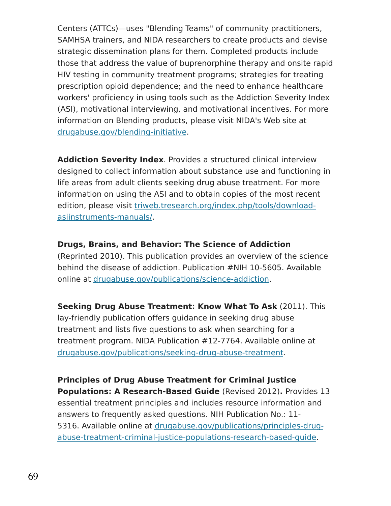Centers (ATTCs)—uses "Blending Teams" of community practitioners, SAMHSA trainers, and NIDA researchers to create products and devise strategic dissemination plans for them. Completed products include those that address the value of buprenorphine therapy and onsite rapid HIV testing in community treatment programs; strategies for treating prescription opioid dependence; and the need to enhance healthcare workers' proficiency in using tools such as the Addiction Severity Index (ASI), motivational interviewing, and motivational incentives. For more information on Blending products, please visit NIDA's Web site at [drugabuse.gov/blending-initiative.](https://www.drugabuse.gov/blending-initiative)

**Addiction Severity Index**. Provides a structured clinical interview designed to collect information about substance use and functioning in life areas from adult clients seeking drug abuse treatment. For more information on using the ASI and to obtain copies of the most recent edition, please visit [triweb.tresearch.org/index.php/tools/download](http://triweb.tresearch.org/index.php/tools/download-asi-instruments-manuals/)asiinstruments-manuals/.

#### **Drugs, Brains, and Behavior: The Science of Addiction**

(Reprinted 2010). This publication provides an overview of the science behind the disease of addiction. Publication #NIH 10-5605. Available online at [drugabuse.gov/publications/science-addiction.](https://www.drugabuse.gov/publications/science-addiction)

**Seeking Drug Abuse Treatment: Know What To Ask** (2011). This lay-friendly publication offers guidance in seeking drug abuse treatment and lists five questions to ask when searching for a treatment program. NIDA Publication #12-7764. Available online at [drugabuse.gov/publications/seeking-drug-abuse-treatment.](https://www.drugabuse.gov/publications/seeking-drug-abuse-treatment)

**Principles of Drug Abuse Treatment for Criminal Justice Populations: A Research-Based Guide** (Revised 2012)**.** Provides 13 essential treatment principles and includes resource information and answers to frequently asked questions. NIH Publication No.: 11- 5316. Available online at drugabuse.gov/publications/principles-drug[abuse-treatment-criminal-justice-populations-research-based-guide.](https://www.drugabuse.gov/publications/principles-drug-abuse-treatment-criminal-justice-populations-research-based-guide)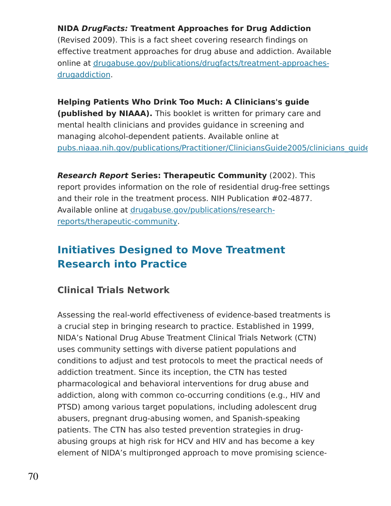#### **NIDA DrugFacts: Treatment Approaches for Drug Addiction**

(Revised 2009). This is a fact sheet covering research findings on effective treatment approaches for drug abuse and addiction. Available online at [drugabuse.gov/publications/drugfacts/treatment-approaches](https://www.drugabuse.gov/publications/drugfacts/treatment-approaches-drug-addiction)drugaddiction.

#### **Helping Patients Who Drink Too Much: A Clinicians's guide**

**(published by NIAAA).** This booklet is written for primary care and mental health clinicians and provides guidance in screening and managing alcohol-dependent patients. Available online at pubs.niaaa.nih.gov/publications/Practitioner/CliniciansGuide2005/clinicians\_guide

**Research Report Series: Therapeutic Community** (2002). This report provides information on the role of residential drug-free settings and their role in the treatment process. NIH Publication #02-4877. Available online at [drugabuse.gov/publications/research](https://www.drugabuse.gov/publications/research-reports/therapeutic-communities)reports/therapeutic-community.

## **Initiatives Designed to Move Treatment Research into Practice**

#### **Clinical Trials Network**

Assessing the real-world effectiveness of evidence-based treatments is a crucial step in bringing research to practice. Established in 1999, NIDA's National Drug Abuse Treatment Clinical Trials Network (CTN) uses community settings with diverse patient populations and conditions to adjust and test protocols to meet the practical needs of addiction treatment. Since its inception, the CTN has tested pharmacological and behavioral interventions for drug abuse and addiction, along with common co-occurring conditions (e.g., HIV and PTSD) among various target populations, including adolescent drug abusers, pregnant drug-abusing women, and Spanish-speaking patients. The CTN has also tested prevention strategies in drugabusing groups at high risk for HCV and HIV and has become a key element of NIDA's multipronged approach to move promising science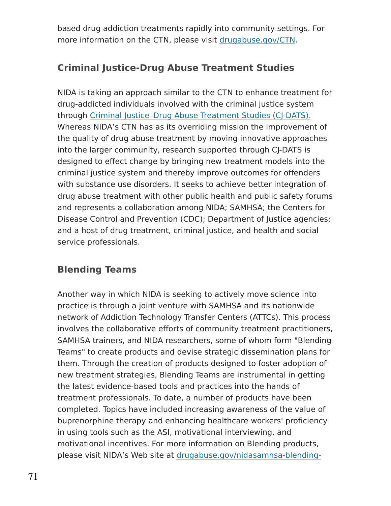based drug addiction treatments rapidly into community settings. For more information on the CTN, please visit [drugabuse.gov/CTN.](https://www.drugabuse.gov/about-nida/organization/cctn/ctn)

### **Criminal Justice-Drug Abuse Treatment Studies**

NIDA is taking an approach similar to the CTN to enhance treatment for drug-addicted individuals involved with the criminal justice system through Criminal Justice-Drug Abuse Treatment Studies (CI-DATS). Whereas NIDA's CTN has as its overriding mission the improvement of the quality of drug abuse treatment by moving innovative approaches into the larger community, research supported through CJ-DATS is designed to effect change by bringing new treatment models into the criminal justice system and thereby improve outcomes for offenders with substance use disorders. It seeks to achieve better integration of drug abuse treatment with other public health and public safety forums and represents a collaboration among NIDA; SAMHSA; the Centers for Disease Control and Prevention (CDC); Department of Justice agencies; and a host of drug treatment, criminal justice, and health and social service professionals.

### **Blending Teams**

Another way in which NIDA is seeking to actively move science into practice is through a joint venture with SAMHSA and its nationwide network of Addiction Technology Transfer Centers (ATTCs). This process involves the collaborative efforts of community treatment practitioners, SAMHSA trainers, and NIDA researchers, some of whom form "Blending Teams" to create products and devise strategic dissemination plans for them. Through the creation of products designed to foster adoption of new treatment strategies, Blending Teams are instrumental in getting the latest evidence-based tools and practices into the hands of treatment professionals. To date, a number of products have been completed. Topics have included increasing awareness of the value of buprenorphine therapy and enhancing healthcare workers' proficiency in using tools such as the ASI, motivational interviewing, and motivational incentives. For more information on Blending products, please visit NIDA's Web site at [drugabuse.gov/nidasamhsa-blending-](https://www.drugabuse.gov/nidasamhsa-blending-initiative)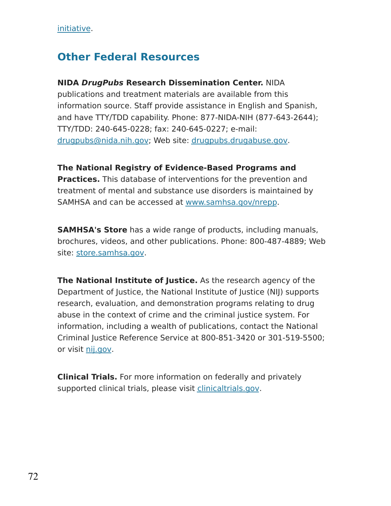[initiative.](https://www.drugabuse.gov/nidasamhsa-blending-initiative)

### **Other Federal Resources**

#### **NIDA DrugPubs Research Dissemination Center.** NIDA

publications and treatment materials are available from this information source. Staff provide assistance in English and Spanish, and have TTY/TDD capability. Phone: 877-NIDA-NIH (877-643-2644); TTY/TDD: 240-645-0228; fax: 240-645-0227; e-mail: [drugpubs@nida.nih.gov;](mailto:drugpubs@nida.nih.gov) Web site: [drugpubs.drugabuse.gov.](https://drugpubs.drugabuse.gov/)

#### **The National Registry of Evidence-Based Programs and**

**Practices.** This database of interventions for the prevention and treatment of mental and substance use disorders is maintained by SAMHSA and can be accessed at [www.samhsa.gov/nrepp.](https://www.samhsa.gov/nrepp)

**SAMHSA's Store** has a wide range of products, including manuals, brochures, videos, and other publications. Phone: 800-487-4889; Web site: [store.samhsa.gov.](http://store.samhsa.gov/)

**The National Institute of Justice.** As the research agency of the Department of Justice, the National Institute of Justice (NIJ) supports research, evaluation, and demonstration programs relating to drug abuse in the context of crime and the criminal justice system. For information, including a wealth of publications, contact the National Criminal Justice Reference Service at 800-851-3420 or 301-519-5500; or visit [nij.gov.](http://nij.gov/)

**Clinical Trials.** For more information on federally and privately supported clinical trials, please visit [clinicaltrials.gov.](http://clinicaltrials.gov/)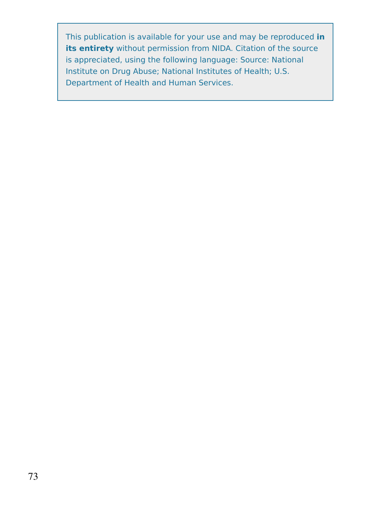This publication is available for your use and may be reproduced **in its entirety** without permission from NIDA. Citation of the source is appreciated, using the following language: Source: National Institute on Drug Abuse; National Institutes of Health; U.S. Department of Health and Human Services.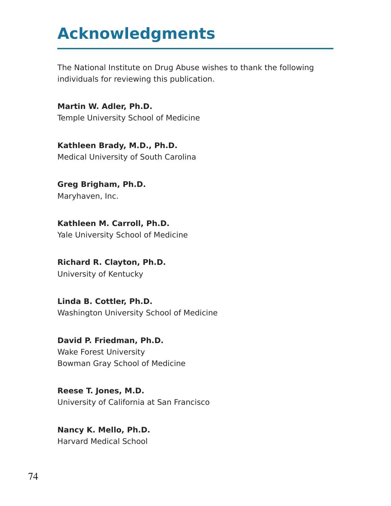## **Acknowledgments**

The National Institute on Drug Abuse wishes to thank the following individuals for reviewing this publication.

**Martin W. Adler, Ph.D.** Temple University School of Medicine

**Kathleen Brady, M.D., Ph.D.** Medical University of South Carolina

**Greg Brigham, Ph.D.** Maryhaven, Inc.

**Kathleen M. Carroll, Ph.D.** Yale University School of Medicine

**Richard R. Clayton, Ph.D.** University of Kentucky

**Linda B. Cottler, Ph.D.** Washington University School of Medicine

**David P. Friedman, Ph.D.** Wake Forest University Bowman Gray School of Medicine

**Reese T. Jones, M.D.** University of California at San Francisco

**Nancy K. Mello, Ph.D.** Harvard Medical School